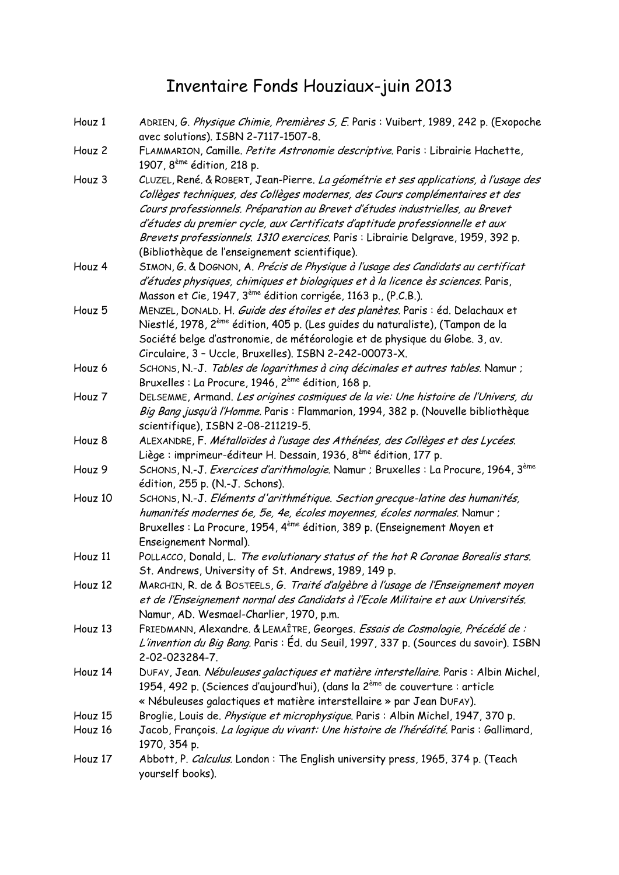## Inventaire Fonds Houziaux-juin 2013

| Houz 1  | ADRIEN, G. Physique Chimie, Premières S, E. Paris : Vuibert, 1989, 242 p. (Exopoche<br>avec solutions). ISBN 2-7117-1507-8.                                          |
|---------|----------------------------------------------------------------------------------------------------------------------------------------------------------------------|
| Houz 2  | FLAMMARION, Camille. Petite Astronomie descriptive. Paris : Librairie Hachette,                                                                                      |
|         | 1907, 8 <sup>ème</sup> édition, 218 p.                                                                                                                               |
| Houz 3  | CLUZEL, René. & ROBERT, Jean-Pierre. La géométrie et ses applications, à l'usage des<br>Collèges techniques, des Collèges modernes, des Cours complémentaires et des |
|         | Cours professionnels. Préparation au Brevet d'études industrielles, au Brevet                                                                                        |
|         | d'études du premier cycle, aux Certificats d'aptitude professionnelle et aux                                                                                         |
|         | Brevets professionnels. 1310 exercices. Paris : Librairie Delgrave, 1959, 392 p.                                                                                     |
|         | (Bibliothèque de l'enseignement scientifique).                                                                                                                       |
| Houz 4  | SIMON, G. & DOGNON, A. Précis de Physique à l'usage des Candidats au certificat                                                                                      |
|         | d'études physiques, chimiques et biologiques et à la licence ès sciences. Paris,<br>Masson et Cie, 1947, 3 <sup>ème</sup> édition corrigée, 1163 p., (P.C.B.).       |
| Houz 5  | MENZEL, DONALD. H. Guide des étoiles et des planètes. Paris : éd. Delachaux et                                                                                       |
|         | Niestlé, 1978, 2 <sup>ème</sup> édition, 405 p. (Les guides du naturaliste), (Tampon de la                                                                           |
|         | Société belge d'astronomie, de météorologie et de physique du Globe. 3, av.<br>Circulaire, 3 - Uccle, Bruxelles). ISBN 2-242-00073-X.                                |
| Houz 6  | SCHONS, N.-J. Tables de logarithmes à cinq décimales et autres tables. Namur ;                                                                                       |
|         | Bruxelles : La Procure, 1946, 2 <sup>ème</sup> édition, 168 p.                                                                                                       |
| Houz 7  | DELSEMME, Armand. Les origines cosmiques de la vie: Une histoire de l'Univers, du                                                                                    |
|         | Big Bang jusqu'à l'Homme. Paris : Flammarion, 1994, 382 p. (Nouvelle bibliothèque<br>scientifique), ISBN 2-08-211219-5.                                              |
| Houz 8  | ALEXANDRE, F. Métalloïdes à l'usage des Athénées, des Collèges et des Lycées.                                                                                        |
|         | Liège : imprimeur-éditeur H. Dessain, 1936, 8 <sup>ème</sup> édition, 177 p.                                                                                         |
| Houz 9  | SCHONS, N.-J. Exercices d'arithmologie. Namur ; Bruxelles : La Procure, 1964, 3 <sup>ème</sup><br>édition, 255 p. (N.-J. Schons).                                    |
| Houz 10 | SCHONS, N.-J. Eléments d'arithmétique. Section grecque-latine des humanités,                                                                                         |
|         | humanités modernes 6e, 5e, 4e, écoles moyennes, écoles normales. Namur ;                                                                                             |
|         | Bruxelles : La Procure, 1954, 4 <sup>ème</sup> édition, 389 p. (Enseignement Moyen et                                                                                |
|         | Enseignement Normal).                                                                                                                                                |
| Houz 11 | POLLACCO, Donald, L. The evolutionary status of the hot R Coronae Borealis stars.                                                                                    |
|         | St. Andrews, University of St. Andrews, 1989, 149 p.                                                                                                                 |
| Houz 12 | MARCHIN, R. de & BOSTEELS, G. Traité d'algèbre à l'usage de l'Enseignement moyen                                                                                     |
|         | et de l'Enseignement normal des Candidats à l'Ecole Militaire et aux Universités.                                                                                    |
|         | Namur, AD. Wesmael-Charlier, 1970, p.m.                                                                                                                              |
| Houz 13 | FRIEDMANN, Alexandre. & LEMAÎTRE, Georges. Essais de Cosmologie, Précédé de :                                                                                        |
|         | L'invention du Big Bang. Paris : Éd. du Seuil, 1997, 337 p. (Sources du savoir). ISBN                                                                                |
|         | 2-02-023284-7.                                                                                                                                                       |
| Houz 14 | DUFAY, Jean. Nébuleuses galactiques et matière interstellaire. Paris : Albin Michel,                                                                                 |
|         | 1954, 492 p. (Sciences d'aujourd'hui), (dans la 2 <sup>ème</sup> de couverture : article                                                                             |
|         | « Nébuleuses galactiques et matière interstellaire » par Jean DUFAY).                                                                                                |
| Houz 15 | Broglie, Louis de. Physique et microphysique. Paris : Albin Michel, 1947, 370 p.                                                                                     |
| Houz 16 | Jacob, François. La logique du vivant: Une histoire de l'hérédité. Paris : Gallimard,<br>1970, 354 p.                                                                |
| Houz 17 | Abbott, P. Calculus. London: The English university press, 1965, 374 p. (Teach<br>yourself books).                                                                   |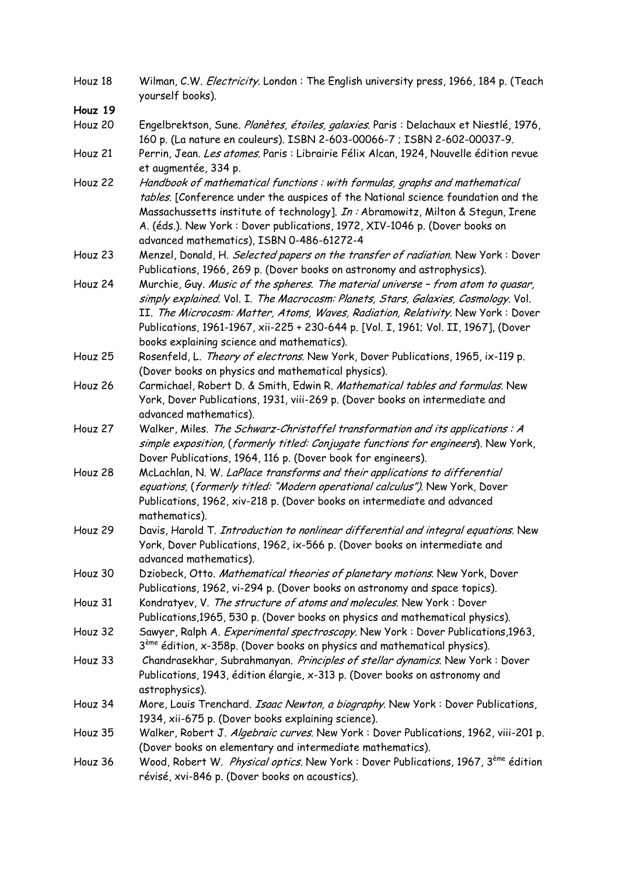| Houz 18 | Wilman, C.W. <i>Electricity</i> . London : The English university press, 1966, 184 p. (Teach<br>yourself books).                                                                                                                                                                                                                                                                               |
|---------|------------------------------------------------------------------------------------------------------------------------------------------------------------------------------------------------------------------------------------------------------------------------------------------------------------------------------------------------------------------------------------------------|
| Houz 19 |                                                                                                                                                                                                                                                                                                                                                                                                |
| Houz 20 | Engelbrektson, Sune. Planètes, étoiles, galaxies. Paris : Delachaux et Niestlé, 1976,<br>160 p. (La nature en couleurs). ISBN 2-603-00066-7 ; ISBN 2-602-00037-9.                                                                                                                                                                                                                              |
| Houz 21 | Perrin, Jean. Les atomes. Paris : Librairie Félix Alcan, 1924, Nouvelle édition revue<br>et augmentée, 334 p.                                                                                                                                                                                                                                                                                  |
| Houz 22 | Handbook of mathematical functions: with formulas, graphs and mathematical<br>tables. [Conference under the auspices of the National science foundation and the<br>Massachussetts institute of technology]. <i>In:</i> Abramowitz, Milton & Stegun, Irene<br>A. (éds.). New York : Dover publications, 1972, XIV-1046 p. (Dover books on<br>advanced mathematics), ISBN 0-486-61272-4          |
| Houz 23 | Menzel, Donald, H. Selected papers on the transfer of radiation. New York: Dover<br>Publications, 1966, 269 p. (Dover books on astronomy and astrophysics).                                                                                                                                                                                                                                    |
| Houz 24 | Murchie, Guy. Music of the spheres. The material universe - from atom to quasar,<br>simply explained. Vol. I. The Macrocosm: Planets, Stars, Galaxies, Cosmology. Vol.<br>II. The Microcosm: Matter, Atoms, Waves, Radiation, Relativity. New York: Dover<br>Publications, 1961-1967, xii-225 + 230-644 p. [Vol. I, 1961; Vol. II, 1967], (Dover<br>books explaining science and mathematics). |
| Houz 25 | Rosenfeld, L. Theory of electrons. New York, Dover Publications, 1965, ix-119 p.<br>(Dover books on physics and mathematical physics).                                                                                                                                                                                                                                                         |
| Houz 26 | Carmichael, Robert D. & Smith, Edwin R. Mathematical tables and formulas. New<br>York, Dover Publications, 1931, viii-269 p. (Dover books on intermediate and<br>advanced mathematics).                                                                                                                                                                                                        |
| Houz 27 | Walker, Miles. The Schwarz-Christoffel transformation and its applications: A<br>simple exposition, (formerly titled: Conjugate functions for engineers). New York,<br>Dover Publications, 1964, 116 p. (Dover book for engineers).                                                                                                                                                            |
| Houz 28 | McLachlan, N. W. LaPlace transforms and their applications to differential<br>equations, (formerly titled: "Modern operational calculus"). New York, Dover<br>Publications, 1962, xiv-218 p. (Dover books on intermediate and advanced<br>mathematics).                                                                                                                                        |
| Houz 29 | Davis, Harold T. Introduction to nonlinear differential and integral equations. New<br>York, Dover Publications, 1962, ix-566 p. (Dover books on intermediate and<br>advanced mathematics).                                                                                                                                                                                                    |
| Houz 30 | Dziobeck, Otto. Mathematical theories of planetary motions. New York, Dover<br>Publications, 1962, vi-294 p. (Dover books on astronomy and space topics).                                                                                                                                                                                                                                      |
| Houz 31 | Kondratyev, V. The structure of atoms and molecules. New York: Dover<br>Publications, 1965, 530 p. (Dover books on physics and mathematical physics).                                                                                                                                                                                                                                          |
| Houz 32 | Sawyer, Ralph A. Experimental spectroscopy. New York: Dover Publications, 1963,<br>$3eme$ édition, x-358p. (Dover books on physics and mathematical physics).                                                                                                                                                                                                                                  |
| Houz 33 | Chandrasekhar, Subrahmanyan. Principles of stellar dynamics. New York: Dover<br>Publications, 1943, édition élargie, x-313 p. (Dover books on astronomy and<br>astrophysics).                                                                                                                                                                                                                  |
| Houz 34 | More, Louis Trenchard. Isaac Newton, a biography. New York: Dover Publications,<br>1934, xii-675 p. (Dover books explaining science).                                                                                                                                                                                                                                                          |
| Houz 35 | Walker, Robert J. Algebraic curves. New York: Dover Publications, 1962, viii-201 p.<br>(Dover books on elementary and intermediate mathematics).                                                                                                                                                                                                                                               |
| Houz 36 | Wood, Robert W. Physical optics. New York: Dover Publications, 1967, 3 <sup>ème</sup> édition<br>révisé, xvi-846 p. (Dover books on acoustics).                                                                                                                                                                                                                                                |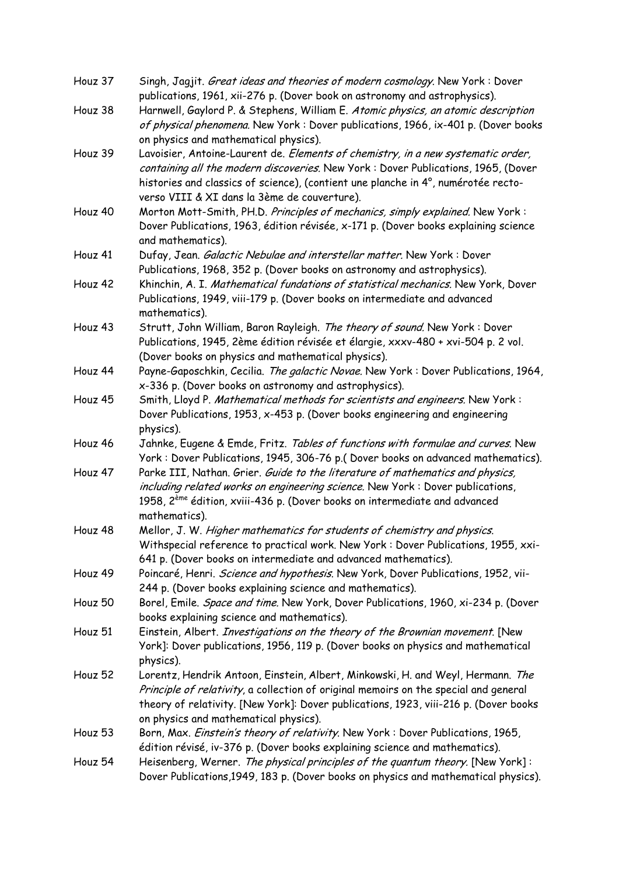| Houz 37 | Singh, Jagjit. <i>Great ideas and theories of modern cosmology</i> . New York: Dover<br>publications, 1961, xii-276 p. (Dover book on astronomy and astrophysics).      |
|---------|-------------------------------------------------------------------------------------------------------------------------------------------------------------------------|
| Houz 38 | Harnwell, Gaylord P. & Stephens, William E. Atomic physics, an atomic description<br>of physical phenomena. New York: Dover publications, 1966, ix-401 p. (Dover books  |
|         | on physics and mathematical physics).                                                                                                                                   |
| Houz 39 | Lavoisier, Antoine-Laurent de. Elements of chemistry, in a new systematic order,                                                                                        |
|         | containing all the modern discoveries. New York: Dover Publications, 1965, (Dover                                                                                       |
|         | histories and classics of science), (contient une planche in 4°, numérotée recto-                                                                                       |
|         | verso VIII & XI dans la 3ème de couverture).                                                                                                                            |
| Houz 40 | Morton Mott-Smith, PH.D. Principles of mechanics, simply explained. New York:                                                                                           |
|         | Dover Publications, 1963, édition révisée, x-171 p. (Dover books explaining science<br>and mathematics).                                                                |
| Houz 41 | Dufay, Jean. Galactic Nebulae and interstellar matter. New York: Dover                                                                                                  |
|         | Publications, 1968, 352 p. (Dover books on astronomy and astrophysics).                                                                                                 |
| Houz 42 | Khinchin, A. I. Mathematical fundations of statistical mechanics. New York, Dover                                                                                       |
|         | Publications, 1949, viii-179 p. (Dover books on intermediate and advanced<br>mathematics).                                                                              |
| Houz 43 | Strutt, John William, Baron Rayleigh. The theory of sound. New York: Dover                                                                                              |
|         | Publications, 1945, 2ème édition révisée et élargie, xxxv-480 + xvi-504 p. 2 vol.                                                                                       |
|         | (Dover books on physics and mathematical physics).                                                                                                                      |
| Houz 44 | Payne-Gaposchkin, Cecilia. The galactic Novae. New York: Dover Publications, 1964,                                                                                      |
|         | x-336 p. (Dover books on astronomy and astrophysics).                                                                                                                   |
| Houz 45 | Smith, Lloyd P. Mathematical methods for scientists and engineers. New York:                                                                                            |
|         | Dover Publications, 1953, x-453 p. (Dover books engineering and engineering<br>physics).                                                                                |
| Houz 46 | Jahnke, Eugene & Emde, Fritz. Tables of functions with formulae and curves. New                                                                                         |
|         | York: Dover Publications, 1945, 306-76 p.(Dover books on advanced mathematics).                                                                                         |
| Houz 47 | Parke III, Nathan. Grier. Guide to the literature of mathematics and physics,<br>including related works on engineering science. New York: Dover publications,          |
|         | 1958, 2 <sup>ème</sup> édition, xviii-436 p. (Dover books on intermediate and advanced<br>mathematics).                                                                 |
| Houz 48 | Mellor, J. W. Higher mathematics for students of chemistry and physics.                                                                                                 |
|         | Withspecial reference to practical work. New York: Dover Publications, 1955, xxi-                                                                                       |
|         | 641 p. (Dover books on intermediate and advanced mathematics).                                                                                                          |
| Houz 49 | Poincaré, Henri. Science and hypothesis. New York, Dover Publications, 1952, vii-                                                                                       |
|         | 244 p. (Dover books explaining science and mathematics).                                                                                                                |
| Houz 50 | Borel, Emile. Space and time. New York, Dover Publications, 1960, xi-234 p. (Dover                                                                                      |
|         | books explaining science and mathematics).                                                                                                                              |
| Houz 51 | Einstein, Albert. Investigations on the theory of the Brownian movement. [New                                                                                           |
|         | York]: Dover publications, 1956, 119 p. (Dover books on physics and mathematical                                                                                        |
| Houz 52 | physics).                                                                                                                                                               |
|         | Lorentz, Hendrik Antoon, Einstein, Albert, Minkowski, H. and Weyl, Hermann. The<br>Principle of relativity, a collection of original memoirs on the special and general |
|         | theory of relativity. [New York]: Dover publications, 1923, viii-216 p. (Dover books                                                                                    |
|         | on physics and mathematical physics).                                                                                                                                   |
| Houz 53 | Born, Max. Einstein's theory of relativity. New York: Dover Publications, 1965,                                                                                         |
|         | édition révisé, iv-376 p. (Dover books explaining science and mathematics).                                                                                             |
| Houz 54 | Heisenberg, Werner. The physical principles of the quantum theory. [New York]:                                                                                          |
|         | Dover Publications, 1949, 183 p. (Dover books on physics and mathematical physics).                                                                                     |
|         |                                                                                                                                                                         |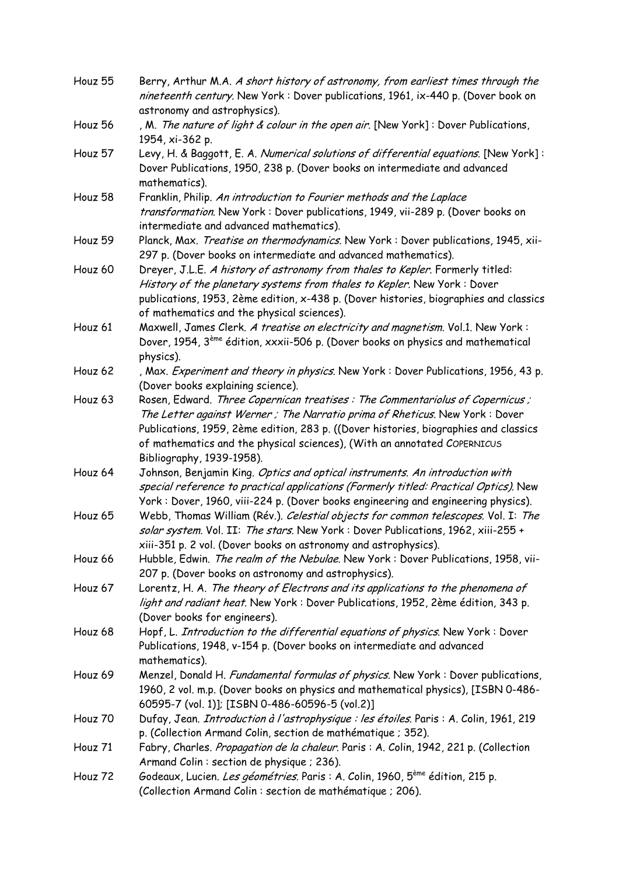| Houz 55 | Berry, Arthur M.A. A short history of astronomy, from earliest times through the<br>nineteenth century. New York: Dover publications, 1961, ix-440 p. (Dover book on                                                                                                                                                                                        |
|---------|-------------------------------------------------------------------------------------------------------------------------------------------------------------------------------------------------------------------------------------------------------------------------------------------------------------------------------------------------------------|
|         | astronomy and astrophysics).                                                                                                                                                                                                                                                                                                                                |
| Houz 56 | , M. The nature of light & colour in the open air. [New York]: Dover Publications,<br>1954, xi-362 p.                                                                                                                                                                                                                                                       |
| Houz 57 | Levy, H. & Baggott, E. A. Numerical solutions of differential equations. [New York]:<br>Dover Publications, 1950, 238 p. (Dover books on intermediate and advanced<br>mathematics).                                                                                                                                                                         |
| Houz 58 | Franklin, Philip. An introduction to Fourier methods and the Laplace<br>transformation. New York: Dover publications, 1949, vii-289 p. (Dover books on<br>intermediate and advanced mathematics).                                                                                                                                                           |
| Houz 59 | Planck, Max. Treatise on thermodynamics. New York: Dover publications, 1945, xii-<br>297 p. (Dover books on intermediate and advanced mathematics).                                                                                                                                                                                                         |
| Houz 60 | Dreyer, J.L.E. A history of astronomy from thales to Kepler. Formerly titled:<br>History of the planetary systems from thales to Kepler. New York: Dover<br>publications, 1953, 2ème edition, x-438 p. (Dover histories, biographies and classics<br>of mathematics and the physical sciences).                                                             |
| Houz 61 | Maxwell, James Clerk. A treatise on electricity and magnetism. Vol.1. New York:<br>Dover, 1954, 3 <sup>ème</sup> édition, xxxii-506 p. (Dover books on physics and mathematical<br>physics).                                                                                                                                                                |
| Houz 62 | , Max. Experiment and theory in physics. New York: Dover Publications, 1956, 43 p.<br>(Dover books explaining science).                                                                                                                                                                                                                                     |
| Houz 63 | Rosen, Edward. Three Copernican treatises: The Commentariolus of Copernicus;<br>The Letter against Werner; The Narratio prima of Rheticus. New York: Dover<br>Publications, 1959, 2ème edition, 283 p. ((Dover histories, biographies and classics<br>of mathematics and the physical sciences), (With an annotated COPERNICUS<br>Bibliography, 1939-1958). |
| Houz 64 | Johnson, Benjamin King. Optics and optical instruments. An introduction with<br>special reference to practical applications (Formerly titled: Practical Optics). New<br>York: Dover, 1960, viii-224 p. (Dover books engineering and engineering physics).                                                                                                   |
| Houz 65 | Webb, Thomas William (Rév.). Celestial objects for common telescopes. Vol. I: The<br>solar system. Vol. II: The stars. New York: Dover Publications, 1962, xiii-255 +<br>xiii-351 p. 2 vol. (Dover books on astronomy and astrophysics).                                                                                                                    |
| Houz 66 | Hubble, Edwin. The realm of the Nebulae. New York: Dover Publications, 1958, vii-<br>207 p. (Dover books on astronomy and astrophysics).                                                                                                                                                                                                                    |
| Houz 67 | Lorentz, H. A. The theory of Electrons and its applications to the phenomena of<br>light and radiant heat. New York: Dover Publications, 1952, 2ème édition, 343 p.<br>(Dover books for engineers).                                                                                                                                                         |
| Houz 68 | Hopf, L. Introduction to the differential equations of physics. New York: Dover<br>Publications, 1948, v-154 p. (Dover books on intermediate and advanced<br>mathematics).                                                                                                                                                                                  |
| Houz 69 | Menzel, Donald H. Fundamental formulas of physics. New York: Dover publications,<br>1960, 2 vol. m.p. (Dover books on physics and mathematical physics), [ISBN 0-486-<br>60595-7 (vol. 1)]; [ISBN 0-486-60596-5 (vol.2)]                                                                                                                                    |
| Houz 70 | Dufay, Jean. <i>Introduction à l'astrophysique : les étoiles</i> . Paris : A. Colin, 1961, 219<br>p. (Collection Armand Colin, section de mathématique ; 352).                                                                                                                                                                                              |
| Houz 71 | Fabry, Charles. Propagation de la chaleur. Paris : A. Colin, 1942, 221 p. (Collection<br>Armand Colin : section de physique ; 236).                                                                                                                                                                                                                         |
| Houz 72 | Godeaux, Lucien. <i>Les géométries.</i> Paris : A. Colin, 1960, 5 <sup>ème</sup> édition, 215 p.<br>(Collection Armand Colin : section de mathématique ; 206).                                                                                                                                                                                              |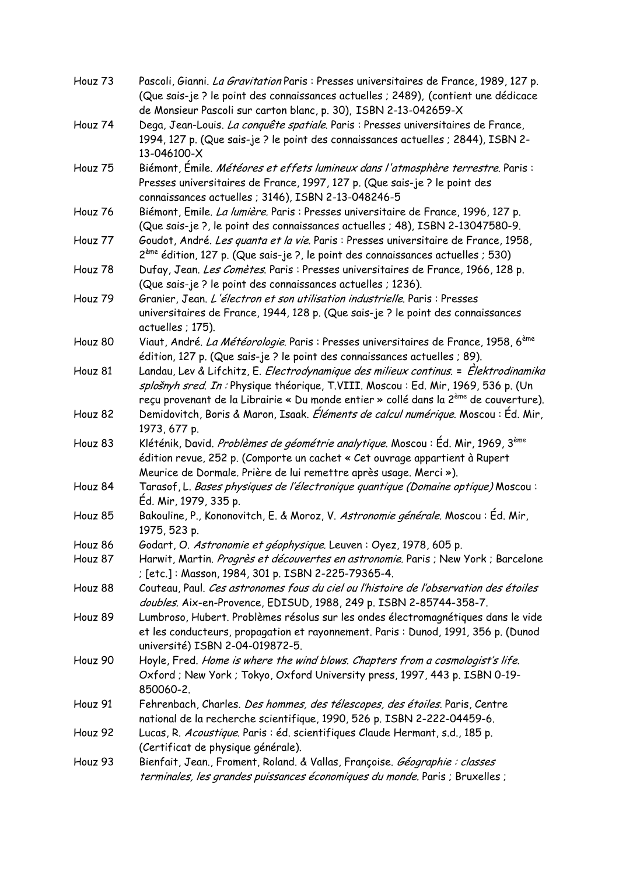| Houz 73 | Pascoli, Gianni. La Gravitation Paris : Presses universitaires de France, 1989, 127 p.                                                                                                                                                                                                 |
|---------|----------------------------------------------------------------------------------------------------------------------------------------------------------------------------------------------------------------------------------------------------------------------------------------|
|         | (Que sais-je ? le point des connaissances actuelles ; 2489), (contient une dédicace                                                                                                                                                                                                    |
|         | de Monsieur Pascoli sur carton blanc, p. 30), ISBN 2-13-042659-X                                                                                                                                                                                                                       |
| Houz 74 | Dega, Jean-Louis. La conquête spatiale. Paris : Presses universitaires de France,<br>1994, 127 p. (Que sais-je ? le point des connaissances actuelles ; 2844), ISBN 2-                                                                                                                 |
|         | 13-046100-X                                                                                                                                                                                                                                                                            |
| Houz 75 | Biémont, Émile. Météores et effets lumineux dans l'atmosphère terrestre. Paris :<br>Presses universitaires de France, 1997, 127 p. (Que sais-je ? le point des                                                                                                                         |
|         | connaissances actuelles ; 3146), ISBN 2-13-048246-5                                                                                                                                                                                                                                    |
| Houz 76 | Biémont, Emile. La lumière. Paris : Presses universitaire de France, 1996, 127 p.<br>(Que sais-je ?, le point des connaissances actuelles ; 48), ISBN 2-13047580-9.                                                                                                                    |
| Houz 77 | Goudot, André. Les quanta et la vie. Paris : Presses universitaire de France, 1958,<br>2 <sup>ème</sup> édition, 127 p. (Que sais-je ?, le point des connaissances actuelles ; 530)                                                                                                    |
| Houz 78 | Dufay, Jean. Les Comètes. Paris : Presses universitaires de France, 1966, 128 p.<br>(Que sais-je ? le point des connaissances actuelles ; 1236).                                                                                                                                       |
| Houz 79 | Granier, Jean. L'électron et son utilisation industrielle. Paris : Presses                                                                                                                                                                                                             |
|         | universitaires de France, 1944, 128 p. (Que sais-je ? le point des connaissances<br>actuelles ; 175).                                                                                                                                                                                  |
| Houz 80 | Viaut, André. La Météorologie. Paris : Presses universitaires de France, 1958, 6 <sup>ème</sup><br>édition, 127 p. (Que sais-je ? le point des connaissances actuelles ; 89).                                                                                                          |
| Houz 81 | Landau, Lev & Lifchitz, E. <i>Electrodynamique des milieux continus</i> . = Elektrodinamika<br>splošnyh sred. In : Physique théorique, T.VIII. Moscou : Ed. Mir, 1969, 536 p. (Un<br>reçu provenant de la Librairie « Du monde entier » collé dans la 2 <sup>ème</sup> de couverture). |
| Houz 82 | Demidovitch, Boris & Maron, Isaak. Éléments de calcul numérique. Moscou : Éd. Mir,<br>1973, 677 p.                                                                                                                                                                                     |
| Houz 83 | Kléténik, David. Problèmes de géométrie analytique. Moscou : Éd. Mir, 1969, 3ème                                                                                                                                                                                                       |
|         | édition revue, 252 p. (Comporte un cachet « Cet ouvrage appartient à Rupert<br>Meurice de Dormale. Prière de lui remettre après usage. Merci»).                                                                                                                                        |
| Houz 84 | Tarasof, L. Bases physiques de l'électronique quantique (Domaine optique) Moscou:<br>Éd. Mir, 1979, 335 p.                                                                                                                                                                             |
| Houz 85 | Bakouline, P., Kononovitch, E. & Moroz, V. Astronomie générale. Moscou : Éd. Mir,<br>1975, 523 p.                                                                                                                                                                                      |
| Houz 86 | Godart, O. Astronomie et géophysique. Leuven : Oyez, 1978, 605 p.                                                                                                                                                                                                                      |
| Houz 87 | Harwit, Martin. Progrès et découvertes en astronomie. Paris ; New York ; Barcelone<br>; [etc.]: Masson, 1984, 301 p. ISBN 2-225-79365-4.                                                                                                                                               |
| Houz 88 | Couteau, Paul. Ces astronomes fous du ciel ou l'histoire de l'observation des étoiles<br>doubles. Aix-en-Provence, EDISUD, 1988, 249 p. ISBN 2-85744-358-7.                                                                                                                            |
| Houz 89 | Lumbroso, Hubert. Problèmes résolus sur les ondes électromagnétiques dans le vide<br>et les conducteurs, propagation et rayonnement. Paris : Dunod, 1991, 356 p. (Dunod<br>université) ISBN 2-04-019872-5.                                                                             |
| Houz 90 | Hoyle, Fred. Home is where the wind blows. Chapters from a cosmologist's life.<br>Oxford; New York; Tokyo, Oxford University press, 1997, 443 p. ISBN 0-19-<br>850060-2.                                                                                                               |
| Houz 91 | Fehrenbach, Charles. Des hommes, des télescopes, des étoiles. Paris, Centre<br>national de la recherche scientifique, 1990, 526 p. ISBN 2-222-04459-6.                                                                                                                                 |
| Houz 92 | Lucas, R. Acoustique. Paris : éd. scientifiques Claude Hermant, s.d., 185 p.<br>(Certificat de physique générale).                                                                                                                                                                     |
| Houz 93 | Bienfait, Jean., Froment, Roland. & Vallas, Françoise. Géographie : classes<br>terminales, les grandes puissances économiques du monde. Paris ; Bruxelles ;                                                                                                                            |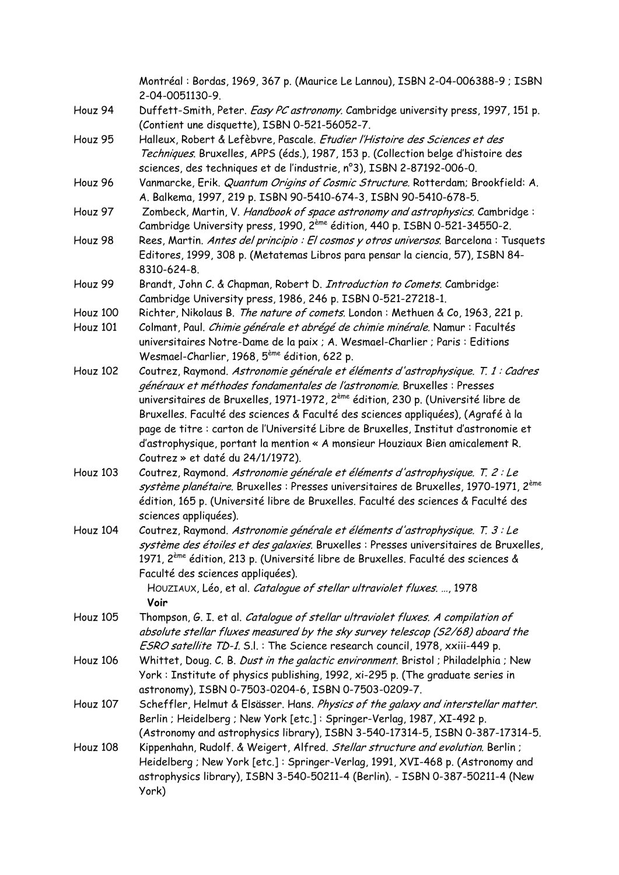|                 | Montréal : Bordas, 1969, 367 p. (Maurice Le Lannou), ISBN 2-04-006388-9 ; ISBN<br>2-04-0051130-9.                                                                                                                                                                                                                                                                                                                                                                                                                                                            |
|-----------------|--------------------------------------------------------------------------------------------------------------------------------------------------------------------------------------------------------------------------------------------------------------------------------------------------------------------------------------------------------------------------------------------------------------------------------------------------------------------------------------------------------------------------------------------------------------|
| Houz 94         | Duffett-Smith, Peter. Easy PC astronomy. Cambridge university press, 1997, 151 p.<br>(Contient une disquette), ISBN 0-521-56052-7.                                                                                                                                                                                                                                                                                                                                                                                                                           |
| Houz 95         | Halleux, Robert & Lefèbvre, Pascale. Etudier l'Histoire des Sciences et des<br>Techniques. Bruxelles, APPS (éds.), 1987, 153 p. (Collection belge d'histoire des<br>sciences, des techniques et de l'industrie, n°3), ISBN 2-87192-006-0.                                                                                                                                                                                                                                                                                                                    |
| Houz 96         | Vanmarcke, Erik. Quantum Origins of Cosmic Structure. Rotterdam; Brookfield: A.<br>A. Balkema, 1997, 219 p. ISBN 90-5410-674-3, ISBN 90-5410-678-5.                                                                                                                                                                                                                                                                                                                                                                                                          |
| Houz 97         | Zombeck, Martin, V. Handbook of space astronomy and astrophysics. Cambridge:<br>Cambridge University press, 1990, 2 <sup>ème</sup> édition, 440 p. ISBN 0-521-34550-2.                                                                                                                                                                                                                                                                                                                                                                                       |
| Houz 98         | Rees, Martin. Antes del principio : El cosmos y otros universos. Barcelona : Tusquets<br>Editores, 1999, 308 p. (Metatemas Libros para pensar la ciencia, 57), ISBN 84-<br>8310-624-8.                                                                                                                                                                                                                                                                                                                                                                       |
| Houz 99         | Brandt, John C. & Chapman, Robert D. Introduction to Comets. Cambridge:<br>Cambridge University press, 1986, 246 p. ISBN 0-521-27218-1.                                                                                                                                                                                                                                                                                                                                                                                                                      |
| Houz 100        | Richter, Nikolaus B. The nature of comets. London: Methuen & Co, 1963, 221 p.                                                                                                                                                                                                                                                                                                                                                                                                                                                                                |
| Houz 101        | Colmant, Paul. Chimie générale et abrégé de chimie minérale. Namur : Facultés<br>universitaires Notre-Dame de la paix ; A. Wesmael-Charlier ; Paris : Editions<br>Wesmael-Charlier, 1968, 5 <sup>ème</sup> édition, 622 p.                                                                                                                                                                                                                                                                                                                                   |
| Houz 102        | Coutrez, Raymond. Astronomie générale et éléments d'astrophysique. T. 1 : Cadres<br>généraux et méthodes fondamentales de l'astronomie. Bruxelles : Presses<br>universitaires de Bruxelles, 1971-1972, 2 <sup>ème</sup> édition, 230 p. (Université libre de<br>Bruxelles. Faculté des sciences & Faculté des sciences appliquées), (Agrafé à la<br>page de titre : carton de l'Université Libre de Bruxelles, Institut d'astronomie et<br>d'astrophysique, portant la mention « A monsieur Houziaux Bien amicalement R.<br>Coutrez » et daté du 24/1/1972). |
| Houz 103        | Coutrez, Raymond. Astronomie générale et éléments d'astrophysique. T. 2 : Le<br>système planétaire. Bruxelles : Presses universitaires de Bruxelles, 1970-1971, 2 <sup>ème</sup><br>édition, 165 p. (Université libre de Bruxelles. Faculté des sciences & Faculté des<br>sciences appliquées).                                                                                                                                                                                                                                                              |
| Houz 104        | Coutrez, Raymond. Astronomie générale et éléments d'astrophysique. T. 3 : Le<br>système des étoiles et des galaxies. Bruxelles : Presses universitaires de Bruxelles,<br>1971, 2 <sup>ème</sup> édition, 213 p. (Université libre de Bruxelles. Faculté des sciences &<br>Faculté des sciences appliquées).<br>HOUZIAUX, Léo, et al. Catalogue of stellar ultraviolet fluxes. , 1978<br>Voir                                                                                                                                                                 |
| <b>Houz 105</b> | Thompson, G. I. et al. Catalogue of stellar ultraviolet fluxes. A compilation of<br>absolute stellar fluxes measured by the sky survey telescop (S2/68) aboard the<br>ESRO satellite TD-1. S.l. : The Science research council, 1978, xxiii-449 p.                                                                                                                                                                                                                                                                                                           |
| Houz 106        | Whittet, Doug. C. B. Dust in the galactic environment. Bristol ; Philadelphia ; New<br>York: Institute of physics publishing, 1992, xi-295 p. (The graduate series in<br>astronomy), ISBN 0-7503-0204-6, ISBN 0-7503-0209-7.                                                                                                                                                                                                                                                                                                                                 |
| Houz 107        | Scheffler, Helmut & Elsässer. Hans. Physics of the galaxy and interstellar matter.<br>Berlin ; Heidelberg ; New York [etc.] : Springer-Verlag, 1987, XI-492 p.<br>(Astronomy and astrophysics library), ISBN 3-540-17314-5, ISBN 0-387-17314-5.                                                                                                                                                                                                                                                                                                              |
| Houz 108        | Kippenhahn, Rudolf. & Weigert, Alfred. Stellar structure and evolution. Berlin;<br>Heidelberg ; New York [etc.]: Springer-Verlag, 1991, XVI-468 p. (Astronomy and<br>astrophysics library), ISBN 3-540-50211-4 (Berlin). - ISBN 0-387-50211-4 (New<br>York)                                                                                                                                                                                                                                                                                                  |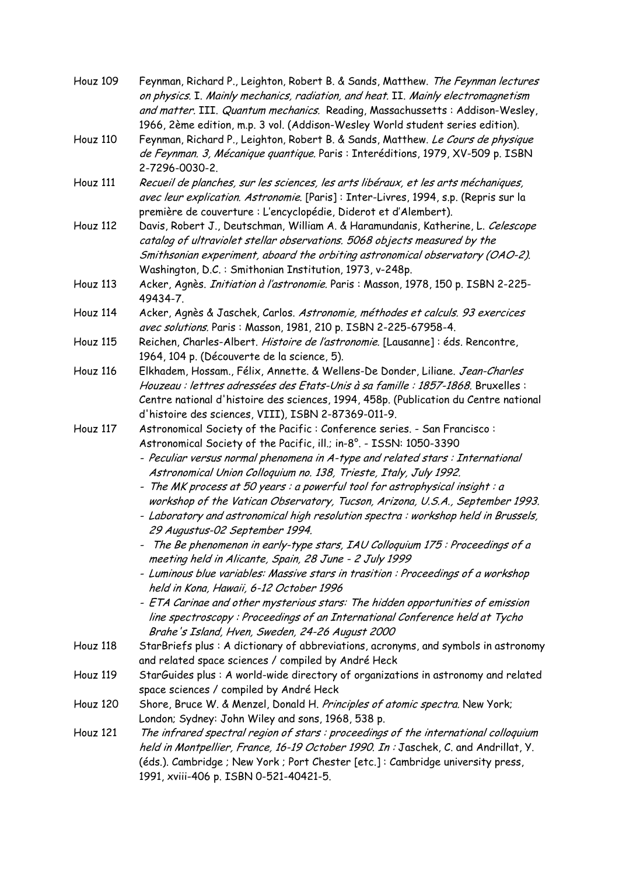| Houz 109        | Feynman, Richard P., Leighton, Robert B. & Sands, Matthew. The Feynman lectures<br>on physics. I. Mainly mechanics, radiation, and heat. II. Mainly electromagnetism<br>and matter. III. Quantum mechanics. Reading, Massachussetts: Addison-Wesley, |
|-----------------|------------------------------------------------------------------------------------------------------------------------------------------------------------------------------------------------------------------------------------------------------|
|                 | 1966, 2ème edition, m.p. 3 vol. (Addison-Wesley World student series edition).                                                                                                                                                                       |
| Houz 110        | Feynman, Richard P., Leighton, Robert B. & Sands, Matthew. Le Cours de physique                                                                                                                                                                      |
|                 | de Feynman. 3, Mécanique quantique. Paris : Interéditions, 1979, XV-509 p. ISBN                                                                                                                                                                      |
|                 | 2-7296-0030-2.                                                                                                                                                                                                                                       |
| Houz 111        | Recueil de planches, sur les sciences, les arts libéraux, et les arts méchaniques,                                                                                                                                                                   |
|                 |                                                                                                                                                                                                                                                      |
|                 | avec leur explication. Astronomie. [Paris]: Inter-Livres, 1994, s.p. (Repris sur la                                                                                                                                                                  |
|                 | première de couverture : L'encyclopédie, Diderot et d'Alembert).                                                                                                                                                                                     |
| Houz 112        | Davis, Robert J., Deutschman, William A. & Haramundanis, Katherine, L. Celescope<br>catalog of ultraviolet stellar observations. 5068 objects measured by the                                                                                        |
|                 | Smithsonian experiment, aboard the orbiting astronomical observatory (OAO-2).                                                                                                                                                                        |
|                 | Washington, D.C.: Smithonian Institution, 1973, v-248p.                                                                                                                                                                                              |
| Houz 113        | Acker, Agnès. Initiation à l'astronomie. Paris : Masson, 1978, 150 p. ISBN 2-225-                                                                                                                                                                    |
|                 | 49434-7.                                                                                                                                                                                                                                             |
| Houz 114        | Acker, Agnès & Jaschek, Carlos. Astronomie, méthodes et calculs. 93 exercices                                                                                                                                                                        |
|                 | avec solutions. Paris: Masson, 1981, 210 p. ISBN 2-225-67958-4.                                                                                                                                                                                      |
| Houz 115        | Reichen, Charles-Albert. Histoire de l'astronomie. [Lausanne] : éds. Rencontre,                                                                                                                                                                      |
|                 | 1964, 104 p. (Découverte de la science, 5).                                                                                                                                                                                                          |
| Houz 116        | Elkhadem, Hossam., Félix, Annette. & Wellens-De Donder, Liliane. Jean-Charles                                                                                                                                                                        |
|                 | Houzeau : lettres adressées des Etats-Unis à sa famille : 1857-1868. Bruxelles :                                                                                                                                                                     |
|                 | Centre national d'histoire des sciences, 1994, 458p. (Publication du Centre national                                                                                                                                                                 |
|                 | d'histoire des sciences, VIII), ISBN 2-87369-011-9.                                                                                                                                                                                                  |
| Houz 117        | Astronomical Society of the Pacific: Conference series. - San Francisco:                                                                                                                                                                             |
|                 | Astronomical Society of the Pacific, ill.; in-8°. - ISSN: 1050-3390                                                                                                                                                                                  |
|                 | - Peculiar versus normal phenomena in A-type and related stars : International                                                                                                                                                                       |
|                 | Astronomical Union Colloquium no. 138, Trieste, Italy, July 1992.                                                                                                                                                                                    |
|                 | - The MK process at 50 years : a powerful tool for astrophysical insight : a                                                                                                                                                                         |
|                 | workshop of the Vatican Observatory, Tucson, Arizona, U.S.A., September 1993.                                                                                                                                                                        |
|                 | - Laboratory and astronomical high resolution spectra: workshop held in Brussels,                                                                                                                                                                    |
|                 | 29 Augustus-02 September 1994.                                                                                                                                                                                                                       |
|                 | The Be phenomenon in early-type stars, IAU Colloquium 175 : Proceedings of a<br>meeting held in Alicante, Spain, 28 June - 2 July 1999                                                                                                               |
|                 | - Luminous blue variables: Massive stars in trasition : Proceedings of a workshop                                                                                                                                                                    |
|                 | held in Kona, Hawaii, 6-12 October 1996                                                                                                                                                                                                              |
|                 | - ETA Carinae and other mysterious stars: The hidden opportunities of emission                                                                                                                                                                       |
|                 | line spectroscopy: Proceedings of an International Conference held at Tycho                                                                                                                                                                          |
|                 | Brahe's Island, Hven, Sweden, 24-26 August 2000                                                                                                                                                                                                      |
| Houz 118        | StarBriefs plus: A dictionary of abbreviations, acronyms, and symbols in astronomy                                                                                                                                                                   |
|                 | and related space sciences / compiled by André Heck                                                                                                                                                                                                  |
| Houz 119        | StarGuides plus: A world-wide directory of organizations in astronomy and related                                                                                                                                                                    |
|                 | space sciences / compiled by André Heck                                                                                                                                                                                                              |
| <b>Houz 120</b> | Shore, Bruce W. & Menzel, Donald H. Principles of atomic spectra. New York;                                                                                                                                                                          |
|                 | London; Sydney: John Wiley and sons, 1968, 538 p.                                                                                                                                                                                                    |
| Houz 121        | The infrared spectral region of stars : proceedings of the international colloquium                                                                                                                                                                  |
|                 | held in Montpellier, France, 16-19 October 1990. In: Jaschek, C. and Andrillat, Y.                                                                                                                                                                   |
|                 | (éds.). Cambridge ; New York ; Port Chester [etc.] : Cambridge university press,                                                                                                                                                                     |
|                 | 1991, xviii-406 p. ISBN 0-521-40421-5.                                                                                                                                                                                                               |
|                 |                                                                                                                                                                                                                                                      |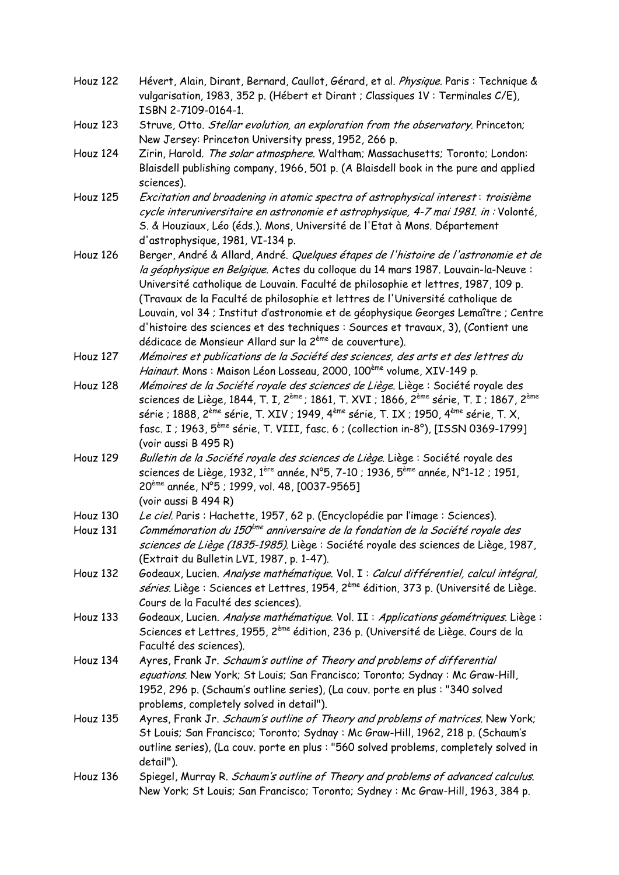- Houz 122 Hévert, Alain, Dirant, Bernard, Caullot, Gérard, et al. Physique. Paris : Technique & vulgarisation, 1983, 352 p. (Hébert et Dirant ; Classiques 1V : Terminales C/E), ISBN 2-7109-0164-1.
- Houz 123 Struve, Otto. Stellar evolution, an exploration from the observatory. Princeton; New Jersey: Princeton University press, 1952, 266 p.
- Houz 124 Zirin, Harold. The solar atmosphere. Waltham; Massachusetts; Toronto; London: Blaisdell publishing company, 1966, 501 p. (A Blaisdell book in the pure and applied sciences).
- Houz 125 Excitation and broadening in atomic spectra of astrophysical interest: troisième cycle interuniversitaire en astronomie et astrophysique, 4-7 mai 1981. in : Volonté, S. & Houziaux, Léo (éds.). Mons, Université de l'Etat à Mons. Département d'astrophysique, 1981, VI-134 p.
- Houz 126 Berger, [André &](http://193.190.242.138/scripts/mgwms32.dll?P0=FKBR&P1=3_JAN&P9=&P5=20&P4=&P2=3&P3=R_TI&P6=BERGER_ANDRE) Allard, [André.](http://193.190.242.138/scripts/mgwms32.dll?P0=FKBR&P1=3_JAN&P9=&P5=20&P4=&P2=3&P3=R_TI&P6=ALLARD_ANDRE) Quelques étapes de l'histoire de l'astronomie et de la géophysique en Belgique. Actes du colloque du 14 mars 1987. Louvain-la-Neuve : Université catholique de Louvain. Faculté de philosophie et lettres, 1987, 109 p. ([Travaux de la Faculté de philosophie et lettres de l'Université catholique de](http://193.190.242.138/scripts/mgwms32.dll?P0=FKBR&P1=3_JAN&P9=&P5=20&P4=&P2=3&P3=R_BBH&P6=66122)  [Louvain, vol 34 ; Institut d'astronomie et de géophysique Georges Lemaître ; Centre](http://193.190.242.138/scripts/mgwms32.dll?P0=FKBR&P1=3_JAN&P9=&P5=20&P4=&P2=3&P3=R_BBH&P6=66122)  [d'histoire des sciences et des techniques : Sources et travaux, 3\),](http://193.190.242.138/scripts/mgwms32.dll?P0=FKBR&P1=3_JAN&P9=&P5=20&P4=&P2=3&P3=R_BBH&P6=66122) (Contient une dédicace de Monsieur Allard sur la 2ème de couverture).
- Houz 127 Mémoires et publications de la Société des sciences, des arts et des lettres du Hainaut. Mons : Maison Léon Losseau, 2000, 100<sup>ème</sup> volume, XIV-149 p.
- Houz 128 Mémoires de la [Société royale des](http://anet.ua.ac.be/brocade/brocade.phtml?UDses=8513369%3A298822&UDstate=1&UDmode=&UDaccess=&UDrou=_EntryC%3Abopwexe&RDcgi=buttonsearch&CDopSe=143018231&CDopSt=8&CDopLv=1&CDopOp=opacantilope&RDtag=ca.1) sciences de Liège. Liège : Société royale des [sciences de Liège,](http://anet.ua.ac.be/brocade/brocade.phtml?UDses=8513369%3A298822&UDstate=1&UDmode=&UDaccess=&UDrou=_EntryC%3Abopwexe&RDcgi=buttonsearch&CDopSe=143018231&CDopSt=8&CDopLv=1&CDopOp=opacantilope&RDtag=ca.1) 1844, T. I, 2ème ; 1861, T. XVI ; 1866, 2ème série, T. I ; 1867, 2ème série ; 1888, 2<sup>ème</sup> série, T. XIV ; 1949, 4<sup>ème</sup> série, T. IX ; 1950, 4<sup>ème</sup> série, T. X, fasc. I ; 1963,  $5^{5}$ <sup>ne</sup> série, T. VIII, fasc. 6 ; (collection in-8°), [ISSN 0369-1799] (voir aussi B 495 R)
- Houz 129 Bulletin de la [Société royale des](http://anet.ua.ac.be/brocade/brocade.phtml?UDses=8513369%3A298822&UDstate=1&UDmode=&UDaccess=&UDrou=_EntryC%3Abopwexe&RDcgi=buttonsearch&CDopSe=143018231&CDopSt=14&CDopLv=1&CDopOp=opacantilope&RDtag=ca.1) sciences de Liège. Liège : Société royale des [sciences de Liège,](http://anet.ua.ac.be/brocade/brocade.phtml?UDses=8513369%3A298822&UDstate=1&UDmode=&UDaccess=&UDrou=_EntryC%3Abopwexe&RDcgi=buttonsearch&CDopSe=143018231&CDopSt=14&CDopLv=1&CDopOp=opacantilope&RDtag=ca.1) 1932, 1<sup>ère</sup> année, N°5, 7-10 ; 1936, 5<sup>ème</sup> année, N°1-12 ; 1951, 20ème année, N°5 ; 1999, vol. 48, [0037-9565] (voir aussi B 494 R)
- Houz 130 Le ciel. Paris : Hachette, 1957, 62 p. (Encyclopédie par l'image : Sciences).
- Houz 131 *Commémoration du 150<sup>ème</sup> anniversaire de la fondation de la Société royale des* sciences de Liège (1835-1985). Liège : [Société royale des sciences de Liège,](http://anet.ua.ac.be/brocade/brocade.phtml?UDses=8513369%3A298822&UDstate=1&UDmode=&UDaccess=&UDrou=_EntryC%3Abopwexe&RDcgi=buttonsearch&CDopSe=143018231&CDopSt=14&CDopLv=1&CDopOp=opacantilope&RDtag=ca.1) 1987, (Extrait du Bulletin LVI, 1987, p. 1-47).
- Houz 132 Godeaux, Lucien. Analyse mathématique. Vol. I : Calcul différentiel, calcul intégral, séries. Liège : Sciences et Lettres, 1954, 2<sup>ème</sup> édition, 373 p. (Université de Liège. Cours de la Faculté des sciences).
- Houz 133 Godeaux, Lucien. Analyse mathématique. Vol. II : Applications géométriques. Liège : Sciences et Lettres, 1955, 2ème édition, 236 p. (Université de Liège. Cours de la Faculté des sciences).
- Houz 134 [Ayres, Frank](http://catalogue.bnf.fr/servlet/autorite?ID=11889722&idNoeud=1.1.2.1&host=catalogue) Jr. Schaum's outline of Theory and problems of differential equations. New York; St Louis; San Francisco; Toronto; Sydnay : Mc Graw-Hill, 1952, 296 p. (Schaum's outline series), (La couv. porte en plus : "340 solved problems, completely solved in detail").
- Houz 135 [Ayres, Frank](http://catalogue.bnf.fr/servlet/autorite?ID=11889722&idNoeud=1.1.2.1&host=catalogue) Jr. Schaum's outline of Theory and problems of matrices. New York; St Louis; San Francisco; Toronto; Sydnay : Mc Graw-Hill, 1962, 218 p. (Schaum's outline series), (La couv. porte en plus : "560 solved problems, completely solved in detail").
- Houz 136 [Spiegel, Murray R.](http://catalogue.bnf.fr/servlet/autorite?ID=12276598&idNoeud=1.3.1.1&host=catalogue) Schaum's outline of Theory and problems of advanced calculus. New York; St Louis; San Francisco; Toronto; Sydney : Mc Graw-Hill, 1963, 384 p.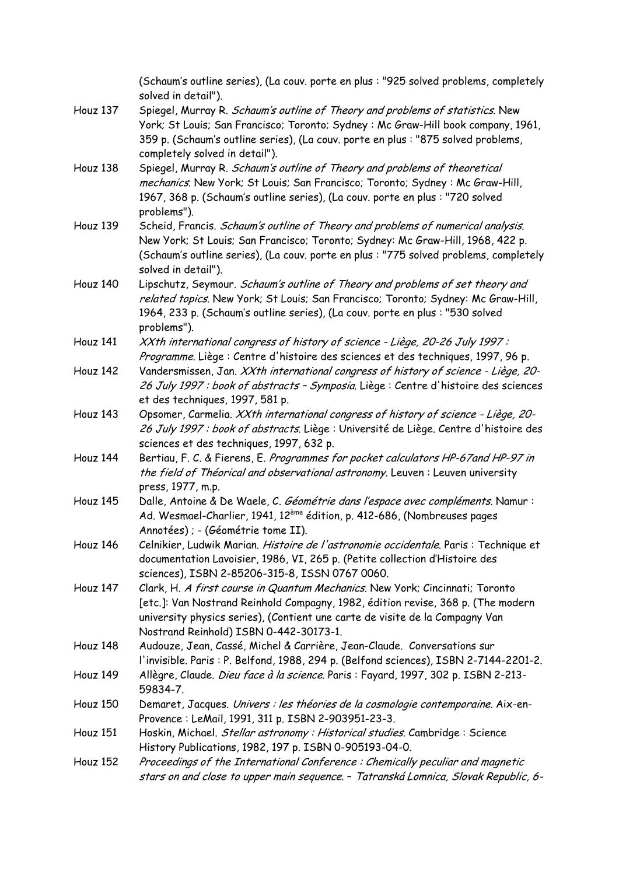|                 | (Schaum's outline series), (La couv. porte en plus : "925 solved problems, completely<br>solved in detail"). |
|-----------------|--------------------------------------------------------------------------------------------------------------|
| Houz 137        | Spiegel, Murray R. Schaum's outline of Theory and problems of statistics. New                                |
|                 | York; St Louis; San Francisco; Toronto; Sydney: Mc Graw-Hill book company, 1961,                             |
|                 | 359 p. (Schaum's outline series), (La couv. porte en plus : "875 solved problems,                            |
|                 | completely solved in detail").                                                                               |
| Houz 138        | Spiegel, Murray R. Schaum's outline of Theory and problems of theoretical                                    |
|                 | mechanics. New York; St Louis; San Francisco; Toronto; Sydney : Mc Graw-Hill,                                |
|                 | 1967, 368 p. (Schaum's outline series), (La couv. porte en plus : "720 solved                                |
|                 | problems").                                                                                                  |
| Houz 139        | Scheid, Francis. Schaum's outline of Theory and problems of numerical analysis.                              |
|                 | New York; St Louis; San Francisco; Toronto; Sydney: Mc Graw-Hill, 1968, 422 p.                               |
|                 | (Schaum's outline series), (La couv. porte en plus : "775 solved problems, completely                        |
|                 | solved in detail").                                                                                          |
| Houz 140        | Lipschutz, Seymour. Schaum's outline of Theory and problems of set theory and                                |
|                 | related topics. New York; St Louis; San Francisco; Toronto; Sydney: Mc Graw-Hill,                            |
|                 | 1964, 233 p. (Schaum's outline series), (La couv. porte en plus : "530 solved                                |
|                 | problems").                                                                                                  |
| Houz 141        | XXth international congress of history of science - Liège, 20-26 July 1997 :                                 |
|                 | Programme. Liège : Centre d'histoire des sciences et des techniques, 1997, 96 p.                             |
| Houz 142        | Vandersmissen, Jan. XXth international congress of history of science - Liège, 20-                           |
|                 | 26 July 1997 : book of abstracts - Symposia. Liège : Centre d'histoire des sciences                          |
|                 | et des techniques, 1997, 581 p.                                                                              |
| Houz 143        | Opsomer, Carmelia. XXth international congress of history of science - Liège, 20-                            |
|                 | 26 July 1997 : book of abstracts. Liège : Université de Liège. Centre d'histoire des                         |
|                 | sciences et des techniques, 1997, 632 p.                                                                     |
| Houz 144        | Bertiau, F. C. & Fierens, E. Programmes for pocket calculators HP-67and HP-97 in                             |
|                 | the field of Théorical and observational astronomy. Leuven: Leuven university                                |
|                 | press, 1977, m.p.                                                                                            |
| Houz 145        | Dalle, Antoine & De Waele, C. Géométrie dans l'espace avec compléments. Namur :                              |
|                 | Ad. Wesmael-Charlier, 1941, 12 <sup>ème</sup> édition, p. 412-686, (Nombreuses pages                         |
|                 | Annotées) ; - (Géométrie tome II).                                                                           |
| Houz 146        | Celnikier, Ludwik Marian. Histoire de l'astronomie occidentale. Paris : Technique et                         |
|                 | documentation Lavoisier, 1986, VI, 265 p. (Petite collection d'Histoire des                                  |
|                 | sciences), ISBN 2-85206-315-8, ISSN 0767 0060.                                                               |
| Houz 147        | Clark, H. A first course in Quantum Mechanics. New York; Cincinnati; Toronto                                 |
|                 | [etc.]: Van Nostrand Reinhold Compagny, 1982, édition revise, 368 p. (The modern                             |
|                 | university physics series), (Contient une carte de visite de la Compagny Van                                 |
|                 | Nostrand Reinhold) ISBN 0-442-30173-1.                                                                       |
| Houz 148        | Audouze, Jean, Cassé, Michel & Carrière, Jean-Claude. Conversations sur                                      |
|                 | l'invisible. Paris : P. Belfond, 1988, 294 p. (Belfond sciences), ISBN 2-7144-2201-2.                        |
| Houz 149        | Allègre, Claude. Dieu face à la science. Paris : Fayard, 1997, 302 p. ISBN 2-213-                            |
|                 | 59834-7.                                                                                                     |
| Houz 150        | Demaret, Jacques. Univers : les théories de la cosmologie contemporaine. Aix-en-                             |
|                 | Provence: LeMail, 1991, 311 p. ISBN 2-903951-23-3.                                                           |
| Houz 151        | Hoskin, Michael. Stellar astronomy: Historical studies. Cambridge: Science                                   |
|                 | History Publications, 1982, 197 p. ISBN 0-905193-04-0.                                                       |
| <b>Houz 152</b> | Proceedings of the International Conference: Chemically peculiar and magnetic                                |
|                 | stars on and close to upper main sequence. - Tatranská Lomnica, Slovak Republic, 6-                          |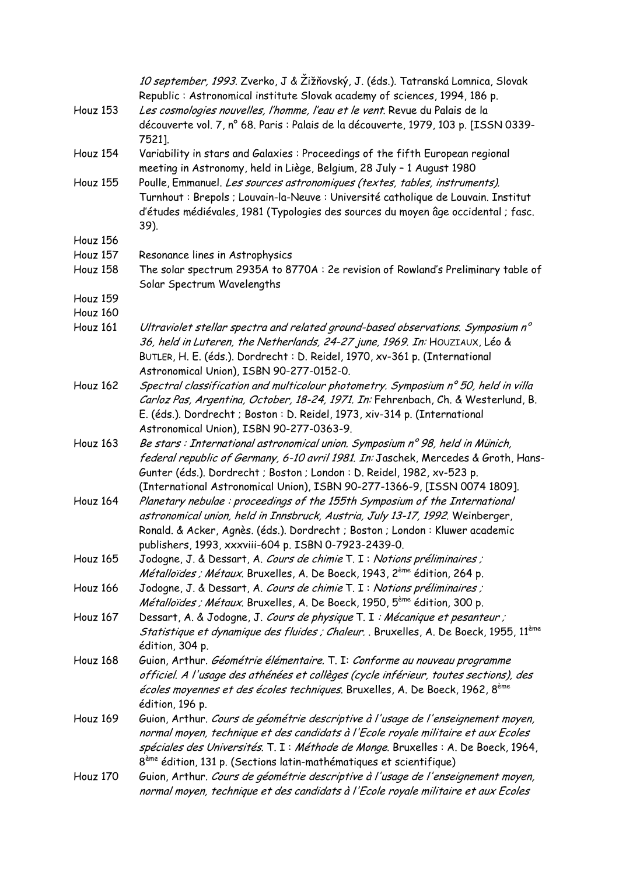|                 | 10 september, 1993. Zverko, J & Žižňovský, J. (éds.). Tatranská Lomnica, Slovak<br>Republic: Astronomical institute Slovak academy of sciences, 1994, 186 p.                                                                                                                                                                                   |
|-----------------|------------------------------------------------------------------------------------------------------------------------------------------------------------------------------------------------------------------------------------------------------------------------------------------------------------------------------------------------|
| Houz 153        | Les cosmologies nouvelles, l'homme, l'eau et le vent. Revue du Palais de la<br>découverte vol. 7, n° 68. Paris : Palais de la découverte, 1979, 103 p. [ISSN 0339-<br>7521].                                                                                                                                                                   |
| Houz 154        | Variability in stars and Galaxies: Proceedings of the fifth European regional<br>meeting in Astronomy, held in Liège, Belgium, 28 July - 1 August 1980                                                                                                                                                                                         |
| <b>Houz 155</b> | Poulle, Emmanuel. Les sources astronomiques (textes, tables, instruments).<br>Turnhout : Brepols ; Louvain-la-Neuve : Université catholique de Louvain. Institut<br>d'études médiévales, 1981 (Typologies des sources du moyen âge occidental ; fasc.<br>39).                                                                                  |
| Houz 156        |                                                                                                                                                                                                                                                                                                                                                |
| <b>Houz 157</b> | Resonance lines in Astrophysics                                                                                                                                                                                                                                                                                                                |
| Houz 158        | The solar spectrum 2935A to 8770A : 2e revision of Rowland's Preliminary table of<br>Solar Spectrum Wavelengths                                                                                                                                                                                                                                |
| Houz 159        |                                                                                                                                                                                                                                                                                                                                                |
| Houz 160        |                                                                                                                                                                                                                                                                                                                                                |
| Houz 161        | Ultraviolet stellar spectra and related ground-based observations. Symposium n°<br>36, held in Luteren, the Netherlands, 24-27 june, 1969. In: HOUZIAUX, Léo &<br>BUTLER, H. E. (éds.). Dordrecht : D. Reidel, 1970, xv-361 p. (International<br>Astronomical Union), ISBN 90-277-0152-0.                                                      |
| Houz 162        | Spectral classification and multicolour photometry. Symposium n° 50, held in villa<br>Carloz Pas, Argentina, October, 18-24, 1971. In: Fehrenbach, Ch. & Westerlund, B.<br>E. (éds.). Dordrecht ; Boston : D. Reidel, 1973, xiv-314 p. (International<br>Astronomical Union), ISBN 90-277-0363-9.                                              |
| Houz 163        | Be stars : International astronomical union. Symposium n° 98, held in Münich,<br>federal republic of Germany, 6-10 avril 1981. In: Jaschek, Mercedes & Groth, Hans-<br>Gunter (éds.). Dordrecht ; Boston ; London : D. Reidel, 1982, xv-523 p.<br>(International Astronomical Union), ISBN 90-277-1366-9, [ISSN 0074 1809].                    |
| Houz 164        | Planetary nebulae: proceedings of the 155th Symposium of the International<br>astronomical union, held in Innsbruck, Austria, July 13-17, 1992. Weinberger,<br>Ronald. & Acker, Agnès. (éds.). Dordrecht ; Boston ; London : Kluwer academic<br>publishers, 1993, xxxviii-604 p. ISBN 0-7923-2439-0.                                           |
| Houz 165        | Jodogne, J. & Dessart, A. Cours de chimie T. I : Notions préliminaires ;<br>Métalloïdes ; Métaux. Bruxelles, A. De Boeck, 1943, 2 <sup>ème</sup> édition, 264 p.                                                                                                                                                                               |
| Houz 166        | Jodogne, J. & Dessart, A. Cours de chimie T. I: Notions préliminaires ;<br><i>Métalloïdes ; Métaux</i> . Bruxelles, A. De Boeck, 1950, 5 <sup>ème</sup> édition, 300 p.                                                                                                                                                                        |
| Houz 167        | Dessart, A. & Jodogne, J. Cours de physique T. I : Mécanique et pesanteur ;<br>Statistique et dynamique des fluides ; Chaleur. . Bruxelles, A. De Boeck, 1955, 11 <sup>ème</sup><br>édition, 304 p.                                                                                                                                            |
| Houz 168        | Guion, Arthur. Géométrie élémentaire. T. I: Conforme au nouveau programme<br>officiel. A l'usage des athénées et collèges (cycle inférieur, toutes sections), des<br>écoles moyennes et des écoles techniques. Bruxelles, A. De Boeck, 1962, 8 <sup>ème</sup><br>édition, 196 p.                                                               |
| Houz 169        | Guion, Arthur. Cours de géométrie descriptive à l'usage de l'enseignement moyen,<br>normal moyen, technique et des candidats à l'Ecole royale militaire et aux Ecoles<br>spéciales des Universités. T. I : Méthode de Monge. Bruxelles : A. De Boeck, 1964,<br>8 <sup>ème</sup> édition, 131 p. (Sections latin-mathématiques et scientifique) |
| Houz 170        | Guion, Arthur. Cours de géométrie descriptive à l'usage de l'enseignement moyen,<br>normal moyen, technique et des candidats à l'Ecole royale militaire et aux Ecoles                                                                                                                                                                          |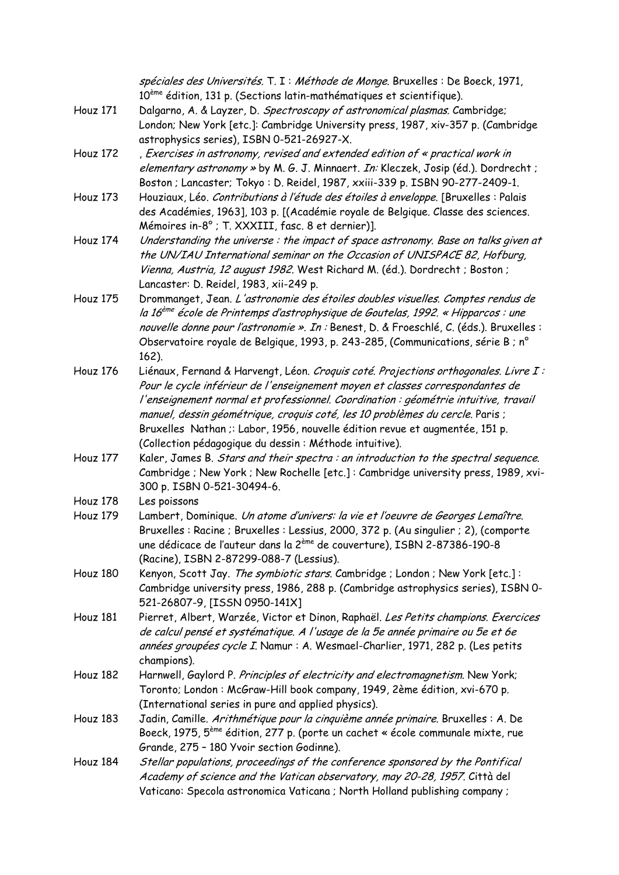|          | spéciales des Universités. T. I : Méthode de Monge. Bruxelles : De Boeck, 1971,<br>10 <sup>ème</sup> édition, 131 p. (Sections latin-mathématiques et scientifique). |
|----------|----------------------------------------------------------------------------------------------------------------------------------------------------------------------|
| Houz 171 | Dalgarno, A. & Layzer, D. Spectroscopy of astronomical plasmas. Cambridge;                                                                                           |
|          | London; New York [etc.]: Cambridge University press, 1987, xiv-357 p. (Cambridge                                                                                     |
|          | astrophysics series), ISBN 0-521-26927-X.                                                                                                                            |
| Houz 172 | , Exercises in astronomy, revised and extended edition of « practical work in                                                                                        |
|          | elementary astronomy » by M. G. J. Minnaert. In: Kleczek, Josip (éd.). Dordrecht ;                                                                                   |
|          | Boston ; Lancaster; Tokyo: D. Reidel, 1987, xxiii-339 p. ISBN 90-277-2409-1.                                                                                         |
| Houz 173 | Houziaux, Léo. Contributions à l'étude des étoiles à enveloppe. [Bruxelles : Palais                                                                                  |
|          | des Académies, 1963], 103 p. [(Académie royale de Belgique. Classe des sciences.                                                                                     |
|          | Mémoires in-8° ; T. XXXIII, fasc. 8 et dernier)].                                                                                                                    |
| Houz 174 | Understanding the universe: the impact of space astronomy. Base on talks given at                                                                                    |
|          | the UN/IAU International seminar on the Occasion of UNISPACE 82, Hofburg,                                                                                            |
|          | Vienna, Austria, 12 august 1982. West Richard M. (éd.). Dordrecht ; Boston ;                                                                                         |
|          | Lancaster: D. Reidel, 1983, xii-249 p.                                                                                                                               |
| Houz 175 | Drommanget, Jean. L'astronomie des étoiles doubles visuelles. Comptes rendus de                                                                                      |
|          | la 16 <sup>ème</sup> école de Printemps d'astrophysique de Goutelas, 1992. « Hipparcos : une                                                                         |
|          | nouvelle donne pour l'astronomie ». In : Benest, D. & Froeschlé, C. (éds.). Bruxelles :                                                                              |
|          | Observatoire royale de Belgique, 1993, p. 243-285, (Communications, série B ; n°                                                                                     |
|          | 162).                                                                                                                                                                |
| Houz 176 | Liénaux, Fernand & Harvengt, Léon. Croquis coté. Projections orthogonales. Livre I:                                                                                  |
|          | Pour le cycle inférieur de l'enseignement moyen et classes correspondantes de                                                                                        |
|          | l'enseignement normal et professionnel. Coordination : géométrie intuitive, travail                                                                                  |
|          | manuel, dessin géométrique, croquis coté, les 10 problèmes du cercle. Paris ;                                                                                        |
|          | Bruxelles Nathan ;: Labor, 1956, nouvelle édition revue et augmentée, 151 p.                                                                                         |
|          | (Collection pédagogique du dessin : Méthode intuitive).                                                                                                              |
| Houz 177 | Kaler, James B. Stars and their spectra : an introduction to the spectral sequence.                                                                                  |
|          | Cambridge ; New York ; New Rochelle [etc.] : Cambridge university press, 1989, xvi-                                                                                  |
|          | 300 p. ISBN 0-521-30494-6.                                                                                                                                           |
| Houz 178 | Les poissons                                                                                                                                                         |
| Houz 179 | Lambert, Dominique. Un atome d'univers: la vie et l'oeuvre de Georges Lemaître.                                                                                      |
|          | Bruxelles : Racine ; Bruxelles : Lessius, 2000, 372 p. (Au singulier ; 2), (comporte                                                                                 |
|          | une dédicace de l'auteur dans la 2 <sup>ème</sup> de couverture), ISBN 2-87386-190-8                                                                                 |
|          | (Racine), ISBN 2-87299-088-7 (Lessius).                                                                                                                              |
| Houz 180 | Kenyon, Scott Jay. The symbiotic stars. Cambridge ; London ; New York [etc.]:                                                                                        |
|          | Cambridge university press, 1986, 288 p. (Cambridge astrophysics series), ISBN 0-                                                                                    |
|          | 521-26807-9, [ISSN 0950-141X]                                                                                                                                        |
| Houz 181 | Pierret, Albert, Warzée, Victor et Dinon, Raphaël. Les Petits champions. Exercices                                                                                   |
|          | de calcul pensé et systématique. A l'usage de la 5e année primaire ou 5e et 6e                                                                                       |
|          | années groupées cycle I. Namur : A. Wesmael-Charlier, 1971, 282 p. (Les petits                                                                                       |
|          | champions).                                                                                                                                                          |
| Houz 182 | Harnwell, Gaylord P. Principles of electricity and electromagnetism. New York;                                                                                       |
|          | Toronto; London: McGraw-Hill book company, 1949, 2ème édition, xvi-670 p.                                                                                            |
|          | (International series in pure and applied physics).                                                                                                                  |
| Houz 183 | Jadin, Camille. Arithmétique pour la cinquième année primaire. Bruxelles : A. De                                                                                     |
|          | Boeck, 1975, 5 <sup>ème</sup> édition, 277 p. (porte un cachet « école communale mixte, rue                                                                          |
|          | Grande, 275 - 180 Yvoir section Godinne).                                                                                                                            |
| Houz 184 | Stellar populations, proceedings of the conference sponsored by the Pontifical                                                                                       |
|          | Academy of science and the Vatican observatory, may 20-28, 1957. Città del                                                                                           |
|          | Vaticano: Specola astronomica Vaticana ; North Holland publishing company ;                                                                                          |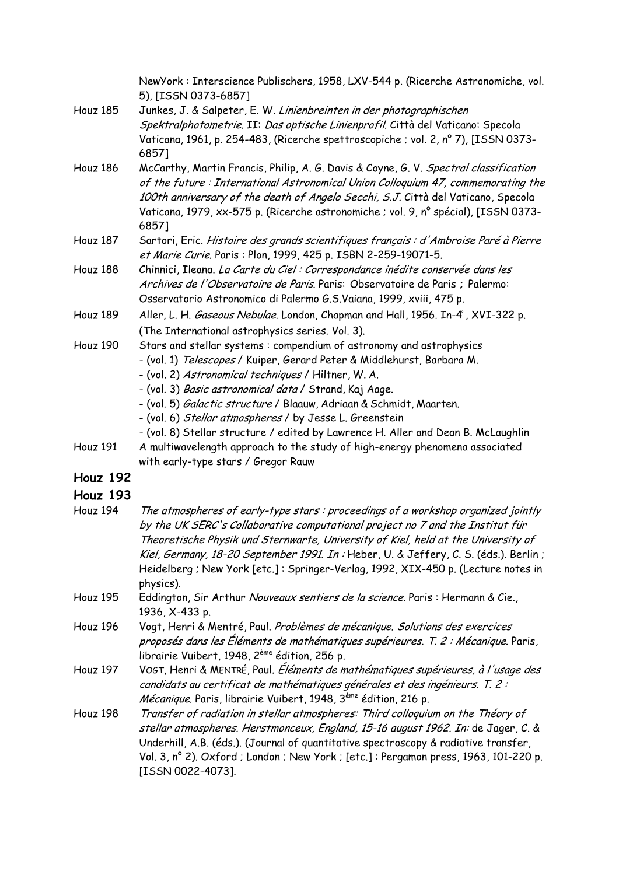|          | NewYork: Interscience Publischers, 1958, LXV-544 p. (Ricerche Astronomiche, vol.<br>5), [ISSN 0373-6857]                                                                                                                                                                                                                                                                                                                                                                                     |
|----------|----------------------------------------------------------------------------------------------------------------------------------------------------------------------------------------------------------------------------------------------------------------------------------------------------------------------------------------------------------------------------------------------------------------------------------------------------------------------------------------------|
| Houz 185 | Junkes, J. & Salpeter, E. W. Linienbreinten in der photographischen<br>Spektralphotometrie. II: Das optische Linienprofil. Città del Vaticano: Specola<br>Vaticana, 1961, p. 254-483, (Ricerche spettroscopiche ; vol. 2, nº 7), [ISSN 0373-<br>6857]                                                                                                                                                                                                                                        |
| Houz 186 | McCarthy, Martin Francis, Philip, A. G. Davis & Coyne, G. V. Spectral classification<br>of the future: International Astronomical Union Colloquium 47, commemorating the<br>100th anniversary of the death of Angelo Secchi, S.J. Città del Vaticano, Specola<br>Vaticana, 1979, xx-575 p. (Ricerche astronomiche ; vol. 9, n° spécial), [ISSN 0373-<br>6857]                                                                                                                                |
| Houz 187 | Sartori, Eric. Histoire des grands scientifiques français : d'Ambroise Paré à Pierre<br>et Marie Curie. Paris : Plon, 1999, 425 p. ISBN 2-259-19071-5.                                                                                                                                                                                                                                                                                                                                       |
| Houz 188 | Chinnici, Ileana. La Carte du Ciel : Correspondance inédite conservée dans les<br>Archives de l'Observatoire de Paris. Paris: Observatoire de Paris ; Palermo:<br>Osservatorio Astronomico di Palermo G.S.Vaiana, 1999, xviii, 475 p.                                                                                                                                                                                                                                                        |
| Houz 189 | Aller, L. H. Gaseous Nebulae. London, Chapman and Hall, 1956. In-4°, XVI-322 p.<br>(The International astrophysics series. Vol. 3).                                                                                                                                                                                                                                                                                                                                                          |
| Houz 190 | Stars and stellar systems: compendium of astronomy and astrophysics<br>- (vol. 1) Telescopes / Kuiper, Gerard Peter & Middlehurst, Barbara M.<br>- (vol. 2) Astronomical techniques / Hiltner, W. A.<br>- (vol. 3) Basic astronomical data / Strand, Kaj Aage.<br>- (vol. 5) <i>Galactic structure</i> / Blaauw, Adriaan & Schmidt, Maarten.<br>- (vol. 6) Stellar atmospheres / by Jesse L. Greenstein<br>- (vol. 8) Stellar structure / edited by Lawrence H. Aller and Dean B. McLaughlin |
| Houz 191 | A multiwavelength approach to the study of high-energy phenomena associated<br>with early-type stars / Gregor Rauw                                                                                                                                                                                                                                                                                                                                                                           |
| Houz 192 |                                                                                                                                                                                                                                                                                                                                                                                                                                                                                              |
| Houz 193 |                                                                                                                                                                                                                                                                                                                                                                                                                                                                                              |
| Houz 194 | The atmospheres of early-type stars: proceedings of a workshop organized jointly<br>by the UK SERC's Collaborative computational project no 7 and the Institut für<br>Theoretische Physik und Sternwarte, University of Kiel, held at the University of<br>Kiel, Germany, 18-20 September 1991. In : Heber, U. & Jeffery, C. S. (éds.). Berlin ;<br>Heidelberg ; New York [etc.]: Springer-Verlag, 1992, XIX-450 p. (Lecture notes in<br>physics).                                           |
| Houz 195 | Eddington, Sir Arthur Nouveaux sentiers de la science. Paris : Hermann & Cie.,<br>1936, X-433 p.                                                                                                                                                                                                                                                                                                                                                                                             |
| Houz 196 | Vogt, Henri & Mentré, Paul. Problèmes de mécanique. Solutions des exercices<br>proposés dans les Éléments de mathématiques supérieures. T. 2 : Mécanique. Paris,<br>librairie Vuibert, 1948, 2 <sup>ème</sup> édition, 256 p.                                                                                                                                                                                                                                                                |
| Houz 197 | VOGT, Henri & MENTRÉ, Paul. Éléments de mathématiques supérieures, à l'usage des<br>candidats au certificat de mathématiques générales et des ingénieurs. T. 2 :<br><i>Mécanique.</i> Paris, librairie Vuibert, 1948, 3 <sup>ème</sup> édition, 216 p.                                                                                                                                                                                                                                       |
| Houz 198 | Transfer of radiation in stellar atmospheres: Third colloquium on the Théory of<br>stellar atmospheres. Herstmonceux, England, 15-16 august 1962. In: de Jager, C. &<br>Underhill, A.B. (éds.). (Journal of quantitative spectroscopy & radiative transfer,<br>Vol. 3, nº 2). Oxford ; London ; New York ; [etc.] : Pergamon press, 1963, 101-220 p.<br>[ISSN 0022-4073].                                                                                                                    |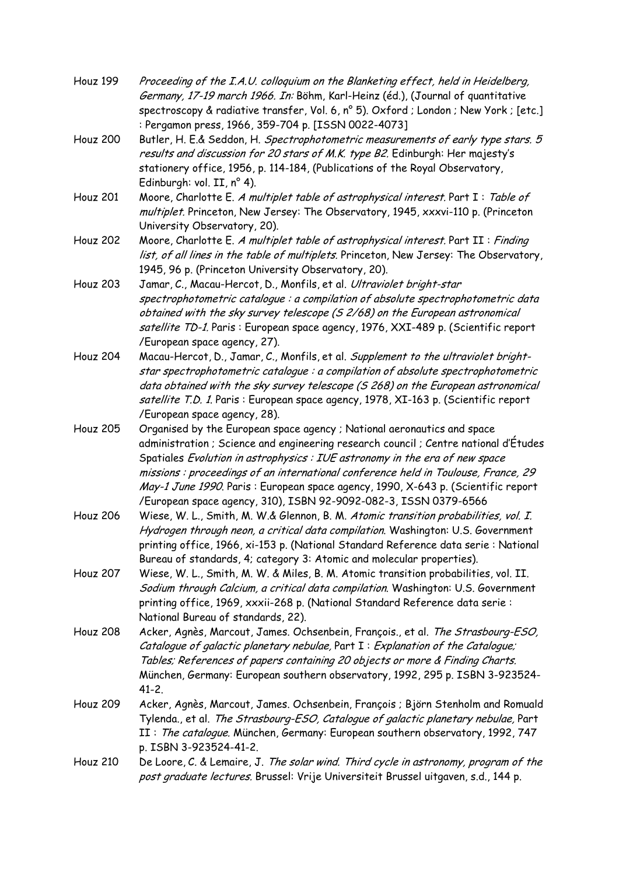| Houz 199        | Proceeding of the I.A.U. colloquium on the Blanketing effect, held in Heidelberg,<br>Germany, 17-19 march 1966. In: Böhm, Karl-Heinz (éd.), (Journal of quantitative                                                                                                                                                                                                                                                                                                                      |
|-----------------|-------------------------------------------------------------------------------------------------------------------------------------------------------------------------------------------------------------------------------------------------------------------------------------------------------------------------------------------------------------------------------------------------------------------------------------------------------------------------------------------|
|                 | spectroscopy & radiative transfer, Vol. 6, n° 5). Oxford ; London ; New York ; [etc.]<br>: Pergamon press, 1966, 359-704 p. [ISSN 0022-4073]                                                                                                                                                                                                                                                                                                                                              |
| <b>Houz 200</b> | Butler, H. E.& Seddon, H. Spectrophotometric measurements of early type stars. 5<br>results and discussion for 20 stars of M.K. type B2. Edinburgh: Her majesty's<br>stationery office, 1956, p. 114-184, (Publications of the Royal Observatory,<br>Edinburgh: vol. II, nº 4).                                                                                                                                                                                                           |
| <b>Houz 201</b> | Moore, Charlotte E. A multiplet table of astrophysical interest. Part I: Table of<br>multiplet. Princeton, New Jersey: The Observatory, 1945, xxxvi-110 p. (Princeton<br>University Observatory, 20).                                                                                                                                                                                                                                                                                     |
| Houz 202        | Moore, Charlotte E. A multiplet table of astrophysical interest. Part II : Finding<br>list, of all lines in the table of multiplets. Princeton, New Jersey: The Observatory,<br>1945, 96 p. (Princeton University Observatory, 20).                                                                                                                                                                                                                                                       |
| Houz 203        | Jamar, C., Macau-Hercot, D., Monfils, et al. Ultraviolet bright-star<br>spectrophotometric catalogue : a compilation of absolute spectrophotometric data<br>obtained with the sky survey telescope (S 2/68) on the European astronomical<br>satellite TD-1. Paris: European space agency, 1976, XXI-489 p. (Scientific report<br>/European space agency, 27).                                                                                                                             |
| <b>Houz 204</b> | Macau-Hercot, D., Jamar, C., Monfils, et al. Supplement to the ultraviolet bright-<br>star spectrophotometric catalogue : a compilation of absolute spectrophotometric<br>data obtained with the sky survey telescope (S 268) on the European astronomical<br>satellite T.D. 1. Paris : European space agency, 1978, XI-163 p. (Scientific report<br>/European space agency, 28).                                                                                                         |
| Houz 205        | Organised by the European space agency ; National aeronautics and space<br>administration; Science and engineering research council; Centre national d'Études<br>Spatiales Evolution in astrophysics : IUE astronomy in the era of new space<br>missions: proceedings of an international conference held in Toulouse, France, 29<br>May-1 June 1990. Paris: European space agency, 1990, X-643 p. (Scientific report<br>/European space agency, 310), ISBN 92-9092-082-3, ISSN 0379-6566 |
| Houz 206        | Wiese, W. L., Smith, M. W.& Glennon, B. M. Atomic transition probabilities, vol. I.<br>Hydrogen through neon, a critical data compilation. Washington: U.S. Government<br>printing office, 1966, xi-153 p. (National Standard Reference data serie : National<br>Bureau of standards, 4; category 3: Atomic and molecular properties).                                                                                                                                                    |
| <b>Houz 207</b> | Wiese, W. L., Smith, M. W. & Miles, B. M. Atomic transition probabilities, vol. II.<br>Sodium through Calcium, a critical data compilation. Washington: U.S. Government<br>printing office, 1969, xxxii-268 p. (National Standard Reference data serie :<br>National Bureau of standards, 22).                                                                                                                                                                                            |
| <b>Houz 208</b> | Acker, Agnès, Marcout, James. Ochsenbein, François., et al. The Strasbourg-ESO,<br>Catalogue of galactic planetary nebulae, Part I: Explanation of the Catalogue;<br>Tables; References of papers containing 20 objects or more & Finding Charts.<br>München, Germany: European southern observatory, 1992, 295 p. ISBN 3-923524-<br>$41 - 2$ .                                                                                                                                           |
| <b>Houz 209</b> | Acker, Agnès, Marcout, James. Ochsenbein, François ; Björn Stenholm and Romuald<br>Tylenda., et al. The Strasbourg-ESO, Catalogue of galactic planetary nebulae, Part<br>II: The catalogue. München, Germany: European southern observatory, 1992, 747<br>p. ISBN 3-923524-41-2.                                                                                                                                                                                                          |
| Houz 210        | De Loore, C. & Lemaire, J. The solar wind. Third cycle in astronomy, program of the<br>post graduate lectures. Brussel: Vrije Universiteit Brussel uitgaven, s.d., 144 p.                                                                                                                                                                                                                                                                                                                 |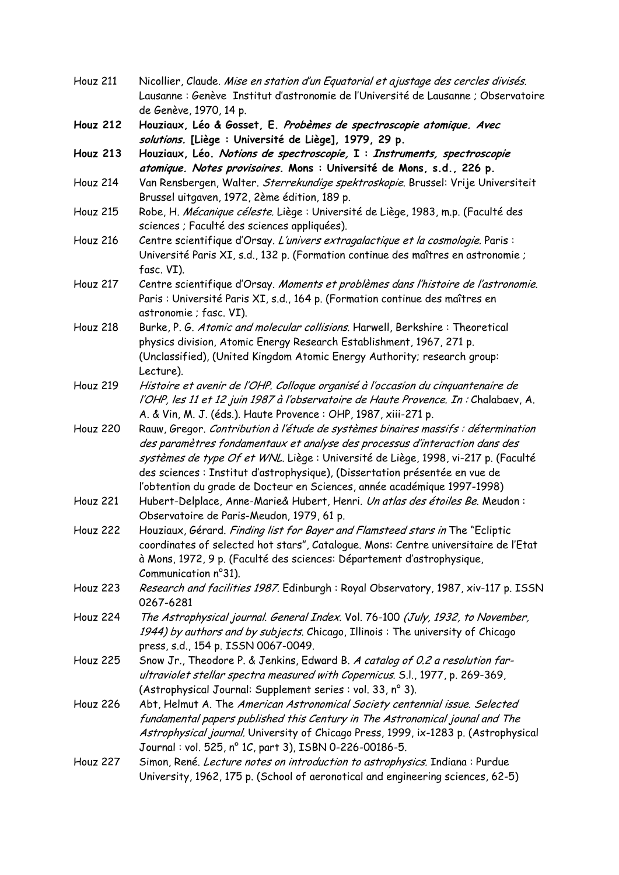| Houz 211        | Nicollier, Claude. Mise en station d'un Equatorial et ajustage des cercles divisés.                                                           |
|-----------------|-----------------------------------------------------------------------------------------------------------------------------------------------|
|                 | Lausanne : Genève Institut d'astronomie de l'Université de Lausanne ; Observatoire<br>de Genève, 1970, 14 p.                                  |
| <b>Houz 212</b> | Houziaux, Léo & Gosset, E. Probèmes de spectroscopie atomique. Avec<br>solutions. [Liège : Université de Liège], 1979, 29 p.                  |
| <b>Houz 213</b> | Houziaux, Léo. Notions de spectroscopie, I : Instruments, spectroscopie                                                                       |
|                 | atomique. Notes provisoires. Mons : Université de Mons, s.d., 226 p.                                                                          |
| Houz 214        | Van Rensbergen, Walter. Sterrekundige spektroskopie. Brussel: Vrije Universiteit                                                              |
|                 | Brussel uitgaven, 1972, 2ème édition, 189 p.                                                                                                  |
| <b>Houz 215</b> | Robe, H. Mécanique céleste. Liège : Université de Liège, 1983, m.p. (Faculté des                                                              |
|                 | sciences ; Faculté des sciences appliquées).                                                                                                  |
| <b>Houz 216</b> | Centre scientifique d'Orsay. L'univers extragalactique et la cosmologie. Paris :                                                              |
|                 | Université Paris XI, s.d., 132 p. (Formation continue des maîtres en astronomie ;                                                             |
|                 | fasc. VI).                                                                                                                                    |
| Houz 217        | Centre scientifique d'Orsay. Moments et problèmes dans l'histoire de l'astronomie.                                                            |
|                 | Paris : Université Paris XI, s.d., 164 p. (Formation continue des maîtres en                                                                  |
|                 | astronomie ; fasc. VI).                                                                                                                       |
| Houz 218        | Burke, P. G. Atomic and molecular collisions. Harwell, Berkshire: Theoretical                                                                 |
|                 | physics division, Atomic Energy Research Establishment, 1967, 271 p.                                                                          |
|                 | (Unclassified), (United Kingdom Atomic Energy Authority; research group:                                                                      |
|                 | Lecture).                                                                                                                                     |
| Houz 219        | Histoire et avenir de l'OHP. Colloque organisé à l'occasion du cinquantenaire de                                                              |
|                 | l'OHP, les 11 et 12 juin 1987 à l'observatoire de Haute Provence. In : Chalabaev, A.                                                          |
|                 | A. & Vin, M. J. (éds.). Haute Provence : OHP, 1987, xiii-271 p.                                                                               |
| <b>Houz 220</b> | Rauw, Gregor. Contribution à l'étude de systèmes binaires massifs : détermination                                                             |
|                 | des paramètres fondamentaux et analyse des processus d'interaction dans des                                                                   |
|                 | systèmes de type Of et WNL. Liège : Université de Liège, 1998, vi-217 p. (Faculté                                                             |
|                 | des sciences : Institut d'astrophysique), (Dissertation présentée en vue de                                                                   |
|                 | l'obtention du grade de Docteur en Sciences, année académique 1997-1998)                                                                      |
| <b>Houz 221</b> | Hubert-Delplace, Anne-Marie& Hubert, Henri. Un atlas des étoiles Be. Meudon :                                                                 |
|                 | Observatoire de Paris-Meudon, 1979, 61 p.                                                                                                     |
| Houz 222        | Houziaux, Gérard. Finding list for Bayer and Flamsteed stars in The "Ecliptic                                                                 |
|                 | coordinates of selected hot stars", Catalogue. Mons: Centre universitaire de l'Etat                                                           |
|                 | à Mons, 1972, 9 p. (Faculté des sciences: Département d'astrophysique,                                                                        |
|                 | Communication n°31).                                                                                                                          |
| <b>Houz 223</b> | Research and facilities 1987. Edinburgh : Royal Observatory, 1987, xiv-117 p. ISSN                                                            |
|                 | 0267-6281                                                                                                                                     |
| Houz 224        | The Astrophysical journal. General Index. Vol. 76-100 (July, 1932, to November,                                                               |
|                 | 1944) by authors and by subjects. Chicago, Illinois: The university of Chicago                                                                |
|                 | press, s.d., 154 p. ISSN 0067-0049.                                                                                                           |
| Houz 225        | Snow Jr., Theodore P. & Jenkins, Edward B. A catalog of 0.2 a resolution far-                                                                 |
|                 | ultraviolet stellar spectra measured with Copernicus. S.l., 1977, p. 269-369,                                                                 |
|                 | (Astrophysical Journal: Supplement series : vol. 33, n° 3).                                                                                   |
| <b>Houz 226</b> | Abt, Helmut A. The American Astronomical Society centennial issue. Selected                                                                   |
|                 | fundamental papers published this Century in The Astronomical jounal and The                                                                  |
|                 | Astrophysical journal. University of Chicago Press, 1999, ix-1283 p. (Astrophysical<br>Journal: vol. 525, n° 1C, part 3), ISBN 0-226-00186-5. |
| Houz 227        | Simon, René. Lecture notes on introduction to astrophysics. Indiana: Purdue                                                                   |
|                 | University, 1962, 175 p. (School of aeronotical and engineering sciences, 62-5)                                                               |
|                 |                                                                                                                                               |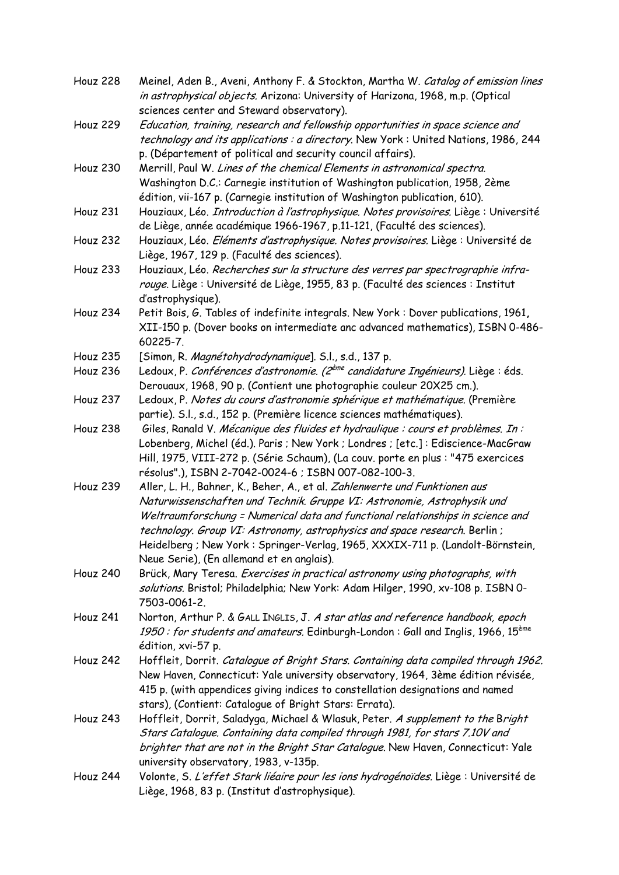| <b>Houz 228</b> | Meinel, Aden B., Aveni, Anthony F. & Stockton, Martha W. Catalog of emission lines<br>in astrophysical objects. Arizona: University of Harizona, 1968, m.p. (Optical                                                                                                                                                                                                                                                                                 |
|-----------------|------------------------------------------------------------------------------------------------------------------------------------------------------------------------------------------------------------------------------------------------------------------------------------------------------------------------------------------------------------------------------------------------------------------------------------------------------|
| <b>Houz 229</b> | sciences center and Steward observatory).<br>Education, training, research and fellowship opportunities in space science and<br>technology and its applications : a directory. New York: United Nations, 1986, 244<br>p. (Département of political and security council affairs).                                                                                                                                                                    |
| Houz 230        | Merrill, Paul W. Lines of the chemical Elements in astronomical spectra.<br>Washington D.C.: Carnegie institution of Washington publication, 1958, 2ème<br>édition, vii-167 p. (Carnegie institution of Washington publication, 610).                                                                                                                                                                                                                |
| Houz 231        | Houziaux, Léo. Introduction à l'astrophysique. Notes provisoires. Liège : Université<br>de Liège, année académique 1966-1967, p.11-121, (Faculté des sciences).                                                                                                                                                                                                                                                                                      |
| <b>Houz 232</b> | Houziaux, Léo. Eléments d'astrophysique. Notes provisoires. Liège : Université de<br>Liège, 1967, 129 p. (Faculté des sciences).                                                                                                                                                                                                                                                                                                                     |
| Houz 233        | Houziaux, Léo. Recherches sur la structure des verres par spectrographie infra-<br>rouge. Liège : Université de Liège, 1955, 83 p. (Faculté des sciences : Institut<br>d'astrophysique).                                                                                                                                                                                                                                                             |
| Houz 234        | Petit Bois, G. Tables of indefinite integrals. New York: Dover publications, 1961,<br>XII-150 p. (Dover books on intermediate anc advanced mathematics), ISBN 0-486-<br>60225-7.                                                                                                                                                                                                                                                                     |
| <b>Houz 235</b> | [Simon, R. Magnétohydrodynamique]. S.l., s.d., 137 p.                                                                                                                                                                                                                                                                                                                                                                                                |
| Houz 236        | Ledoux, P. Conférences d'astronomie. (2 <sup>ème</sup> candidature Ingénieurs). Liège : éds.<br>Derouaux, 1968, 90 p. (Contient une photographie couleur 20X25 cm.).                                                                                                                                                                                                                                                                                 |
| Houz 237        | Ledoux, P. Notes du cours d'astronomie sphérique et mathématique. (Première<br>partie). S.l., s.d., 152 p. (Première licence sciences mathématiques).                                                                                                                                                                                                                                                                                                |
| Houz 238        | Giles, Ranald V. Mécanique des fluides et hydraulique : cours et problèmes. In :<br>Lobenberg, Michel (éd.). Paris ; New York ; Londres ; [etc.] : Ediscience-MacGraw<br>Hill, 1975, VIII-272 p. (Série Schaum), (La couv. porte en plus : "475 exercices<br>résolus".), ISBN 2-7042-0024-6 ; ISBN 007-082-100-3.                                                                                                                                    |
| Houz 239        | Aller, L. H., Bahner, K., Beher, A., et al. Zahlenwerte und Funktionen aus<br>Naturwissenschaften und Technik. Gruppe VI: Astronomie, Astrophysik und<br>Weltraumforschung = Numerical data and functional relationships in science and<br>technology. Group VI: Astronomy, astrophysics and space research. Berlin;<br>Heidelberg ; New York : Springer-Verlag, 1965, XXXIX-711 p. (Landolt-Börnstein,<br>Neue Serie), (En allemand et en anglais). |
| <b>Houz 240</b> | Brück, Mary Teresa. Exercises in practical astronomy using photographs, with<br>solutions. Bristol; Philadelphia; New York: Adam Hilger, 1990, xv-108 p. ISBN 0-<br>7503-0061-2.                                                                                                                                                                                                                                                                     |
| Houz 241        | Norton, Arthur P. & GALL INGLIS, J. A star atlas and reference handbook, epoch<br>1950 : for students and amateurs. Edinburgh-London : Gall and Inglis, 1966, 15 <sup>ème</sup><br>édition, xvi-57 p.                                                                                                                                                                                                                                                |
| Houz 242        | Hoffleit, Dorrit. Catalogue of Bright Stars. Containing data compiled through 1962.<br>New Haven, Connecticut: Yale university observatory, 1964, 3ème édition révisée,<br>415 p. (with appendices giving indices to constellation designations and named<br>stars), (Contient: Catalogue of Bright Stars: Errata).                                                                                                                                  |
| Houz 243        | Hoffleit, Dorrit, Saladyga, Michael & Wlasuk, Peter. A supplement to the Bright<br>Stars Catalogue. Containing data compiled through 1981, for stars 7.10V and<br>brighter that are not in the Bright Star Catalogue. New Haven, Connecticut: Yale<br>university observatory, 1983, v-135p.                                                                                                                                                          |
| Houz 244        | Volonte, S. L'effet Stark liéaire pour les ions hydrogénoïdes. Liège : Université de<br>Liège, 1968, 83 p. (Institut d'astrophysique).                                                                                                                                                                                                                                                                                                               |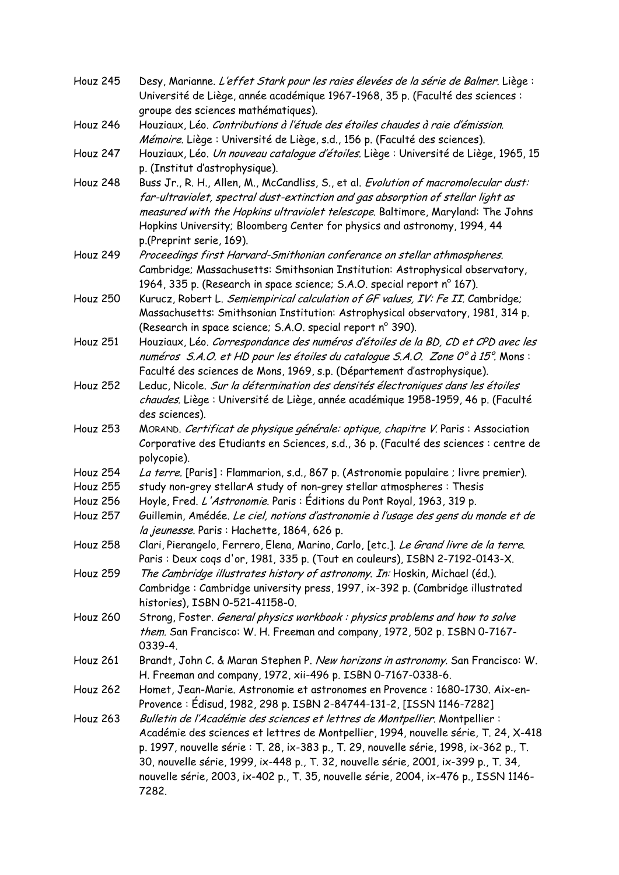| Houz 245        | Desy, Marianne. L'effet Stark pour les raies élevées de la série de Balmer. Liège :<br>Université de Liège, année académique 1967-1968, 35 p. (Faculté des sciences :                                                                                                                                                                                                                                                                                |
|-----------------|------------------------------------------------------------------------------------------------------------------------------------------------------------------------------------------------------------------------------------------------------------------------------------------------------------------------------------------------------------------------------------------------------------------------------------------------------|
|                 | groupe des sciences mathématiques).                                                                                                                                                                                                                                                                                                                                                                                                                  |
| Houz 246        | Houziaux, Léo. Contributions à l'étude des étoiles chaudes à raie d'émission.                                                                                                                                                                                                                                                                                                                                                                        |
|                 | Mémoire. Liège : Université de Liège, s.d., 156 p. (Faculté des sciences).                                                                                                                                                                                                                                                                                                                                                                           |
| Houz 247        | Houziaux, Léo. Un nouveau catalogue d'étoiles. Liège : Université de Liège, 1965, 15<br>p. (Institut d'astrophysique).                                                                                                                                                                                                                                                                                                                               |
| Houz 248        | Buss Jr., R. H., Allen, M., McCandliss, S., et al. Evolution of macromolecular dust:<br>far-ultraviolet, spectral dust-extinction and gas absorption of stellar light as<br>measured with the Hopkins ultraviolet telescope. Baltimore, Maryland: The Johns<br>Hopkins University; Bloomberg Center for physics and astronomy, 1994, 44<br>p.(Preprint serie, 169).                                                                                  |
| Houz 249        | Proceedings first Harvard-Smithonian conferance on stellar athmospheres.<br>Cambridge; Massachusetts: Smithsonian Institution: Astrophysical observatory,<br>1964, 335 p. (Research in space science; S.A.O. special report n° 167).                                                                                                                                                                                                                 |
| <b>Houz 250</b> | Kurucz, Robert L. Semiempirical calculation of GF values, IV: Fe II. Cambridge;<br>Massachusetts: Smithsonian Institution: Astrophysical observatory, 1981, 314 p.<br>(Research in space science; S.A.O. special report n° 390).                                                                                                                                                                                                                     |
| Houz 251        | Houziaux, Léo. Correspondance des numéros d'étoiles de la BD, CD et CPD avec les<br>numéros S.A.O. et HD pour les étoiles du cataloque S.A.O. Zone 0° à 15°. Mons :<br>Faculté des sciences de Mons, 1969, s.p. (Département d'astrophysique).                                                                                                                                                                                                       |
| <b>Houz 252</b> | Leduc, Nicole. Sur la détermination des densités électroniques dans les étoiles<br>chaudes. Liège : Université de Liège, année académique 1958-1959, 46 p. (Faculté<br>des sciences).                                                                                                                                                                                                                                                                |
| <b>Houz 253</b> | MORAND. Certificat de physique générale: optique, chapitre V. Paris : Association<br>Corporative des Etudiants en Sciences, s.d., 36 p. (Faculté des sciences : centre de<br>polycopie).                                                                                                                                                                                                                                                             |
| Houz 254        | La terre. [Paris] : Flammarion, s.d., 867 p. (Astronomie populaire ; livre premier).                                                                                                                                                                                                                                                                                                                                                                 |
| <b>Houz 255</b> | study non-grey stellarA study of non-grey stellar atmospheres : Thesis                                                                                                                                                                                                                                                                                                                                                                               |
| <b>Houz 256</b> | Hoyle, Fred. <i>L'Astronomie</i> . Paris : Éditions du Pont Royal, 1963, 319 p.                                                                                                                                                                                                                                                                                                                                                                      |
| <b>Houz 257</b> | Guillemin, Amédée. Le ciel, notions d'astronomie à l'usage des gens du monde et de<br>la jeunesse. Paris : Hachette, 1864, 626 p.                                                                                                                                                                                                                                                                                                                    |
| <b>Houz 258</b> | Clari, Pierangelo, Ferrero, Elena, Marino, Carlo, [etc.]. Le Grand livre de la terre.<br>Paris : Deux cogs d'or, 1981, 335 p. (Tout en couleurs), ISBN 2-7192-0143-X.                                                                                                                                                                                                                                                                                |
| <b>Houz 259</b> | The Cambridge illustrates history of astronomy. In: Hoskin, Michael (éd.).<br>Cambridge: Cambridge university press, 1997, ix-392 p. (Cambridge illustrated<br>histories), ISBN 0-521-41158-0.                                                                                                                                                                                                                                                       |
| <b>Houz 260</b> | Strong, Foster. General physics workbook: physics problems and how to solve<br>them. San Francisco: W. H. Freeman and company, 1972, 502 p. ISBN 0-7167-<br>0339-4.                                                                                                                                                                                                                                                                                  |
| Houz 261        | Brandt, John C. & Maran Stephen P. New horizons in astronomy. San Francisco: W.<br>H. Freeman and company, 1972, xii-496 p. ISBN 0-7167-0338-6.                                                                                                                                                                                                                                                                                                      |
| <b>Houz 262</b> | Homet, Jean-Marie. Astronomie et astronomes en Provence : 1680-1730. Aix-en-<br>Provence : Édisud, 1982, 298 p. ISBN 2-84744-131-2, [ISSN 1146-7282]                                                                                                                                                                                                                                                                                                 |
| <b>Houz 263</b> | Bulletin de l'Académie des sciences et lettres de Montpellier. Montpellier :<br>Académie des sciences et lettres de Montpellier, 1994, nouvelle série, T. 24, X-418<br>p. 1997, nouvelle série : T. 28, ix-383 p., T. 29, nouvelle série, 1998, ix-362 p., T.<br>30, nouvelle série, 1999, ix-448 p., T. 32, nouvelle série, 2001, ix-399 p., T. 34,<br>nouvelle série, 2003, ix-402 p., T. 35, nouvelle série, 2004, ix-476 p., ISSN 1146-<br>7282. |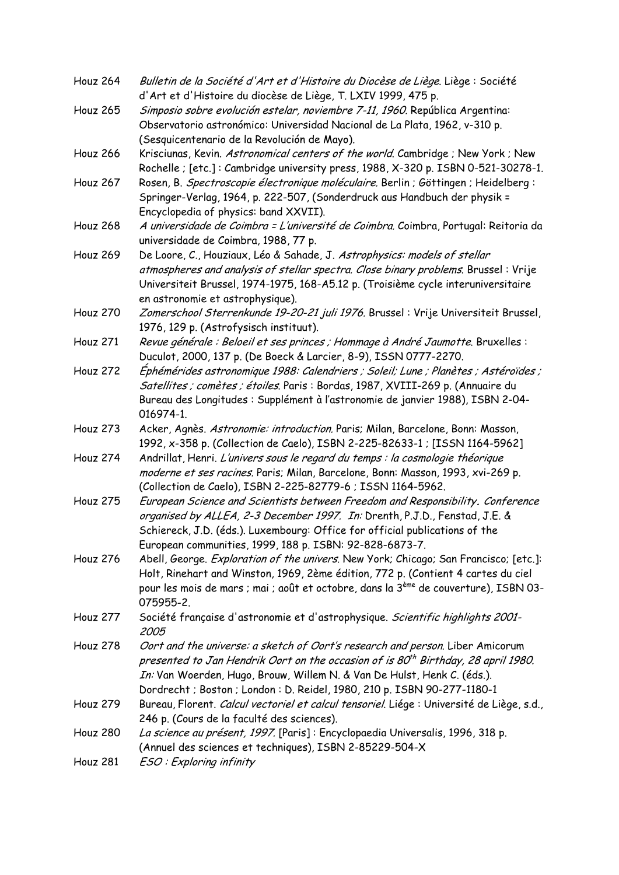| Houz 264        | Bulletin de la Société d'Art et d'Histoire du Diocèse de Liège. Liège : Société                                             |
|-----------------|-----------------------------------------------------------------------------------------------------------------------------|
|                 | d'Art et d'Histoire du diocèse de Liège, T. LXIV 1999, 475 p.                                                               |
| <b>Houz 265</b> | Simposio sobre evolución estelar, noviembre 7-11, 1960. República Argentina:                                                |
|                 | Observatorio astronómico: Universidad Nacional de La Plata, 1962, v-310 p.                                                  |
|                 | (Sesquicentenario de la Revolución de Mayo).                                                                                |
| <b>Houz 266</b> | Krisciunas, Kevin. Astronomical centers of the world. Cambridge ; New York ; New                                            |
|                 | Rochelle ; [etc.]: Cambridge university press, 1988, X-320 p. ISBN 0-521-30278-1.                                           |
| Houz 267        | Rosen, B. Spectroscopie électronique moléculaire. Berlin ; Göttingen ; Heidelberg :                                         |
|                 | Springer-Verlag, 1964, p. 222-507, (Sonderdruck aus Handbuch der physik =                                                   |
|                 | Encyclopedia of physics: band XXVII).                                                                                       |
| <b>Houz 268</b> | A universidade de Coimbra = L'université de Coimbra. Coimbra, Portugal: Reitoria da<br>universidade de Coimbra, 1988, 77 p. |
| Houz 269        | De Loore, C., Houziaux, Léo & Sahade, J. Astrophysics: models of stellar                                                    |
|                 | atmospheres and analysis of stellar spectra. Close binary problems. Brussel: Vrije                                          |
|                 | Universiteit Brussel, 1974-1975, 168-A5.12 p. (Troisième cycle interuniversitaire                                           |
|                 | en astronomie et astrophysique).                                                                                            |
| <b>Houz 270</b> | Zomerschool Sterrenkunde 19-20-21 juli 1976. Brussel : Vrije Universiteit Brussel,                                          |
|                 | 1976, 129 p. (Astrofysisch instituut).                                                                                      |
| Houz 271        | Revue générale : Beloeil et ses princes ; Hommage à André Jaumotte. Bruxelles :                                             |
|                 | Duculot, 2000, 137 p. (De Boeck & Larcier, 8-9), ISSN 0777-2270.                                                            |
| Houz 272        | Ephémérides astronomique 1988: Calendriers ; Soleil; Lune ; Planètes ; Astéroïdes ;                                         |
|                 | Satellites ; comètes ; étoiles. Paris : Bordas, 1987, XVIII-269 p. (Annuaire du                                             |
|                 | Bureau des Longitudes : Supplément à l'astronomie de janvier 1988), ISBN 2-04-                                              |
|                 | 016974-1.                                                                                                                   |
| Houz 273        | Acker, Agnès. Astronomie: introduction. Paris; Milan, Barcelone, Bonn: Masson,                                              |
|                 | 1992, x-358 p. (Collection de Caelo), ISBN 2-225-82633-1 ; [ISSN 1164-5962]                                                 |
| Houz 274        | Andrillat, Henri. L'univers sous le regard du temps : la cosmologie théorique                                               |
|                 | moderne et ses racines. Paris; Milan, Barcelone, Bonn: Masson, 1993, xvi-269 p.                                             |
|                 | (Collection de Caelo), ISBN 2-225-82779-6 ; ISSN 1164-5962.                                                                 |
| Houz 275        | European Science and Scientists between Freedom and Responsibility. Conference                                              |
|                 | organised by ALLEA, 2-3 December 1997. In: Drenth, P.J.D., Fenstad, J.E. &                                                  |
|                 | Schiereck, J.D. (éds.). Luxembourg: Office for official publications of the                                                 |
|                 | European communities, 1999, 188 p. ISBN: 92-828-6873-7.                                                                     |
| Houz 276        | Abell, George. Exploration of the univers. New York; Chicago; San Francisco; [etc.]:                                        |
|                 | Holt, Rinehart and Winston, 1969, 2ème édition, 772 p. (Contient 4 cartes du ciel                                           |
|                 | pour les mois de mars ; mai ; août et octobre, dans la 3ème de couverture), ISBN 03-                                        |
|                 | 075955-2.                                                                                                                   |
| Houz 277        | Société française d'astronomie et d'astrophysique. Scientific highlights 2001-                                              |
|                 | 2005                                                                                                                        |
| <b>Houz 278</b> | Oort and the universe: a sketch of Oort's research and person. Liber Amicorum                                               |
|                 | presented to Jan Hendrik Oort on the occasion of is 80 <sup>th</sup> Birthday, 28 april 1980.                               |
|                 | In: Van Woerden, Hugo, Brouw, Willem N. & Van De Hulst, Henk C. (éds.).                                                     |
|                 | Dordrecht ; Boston ; London : D. Reidel, 1980, 210 p. ISBN 90-277-1180-1                                                    |
| Houz 279        | Bureau, Florent. Calcul vectoriel et calcul tensoriel. Liége : Université de Liège, s.d.,                                   |
|                 | 246 p. (Cours de la faculté des sciences).                                                                                  |
| <b>Houz 280</b> | La science au présent, 1997. [Paris] : Encyclopaedia Universalis, 1996, 318 p.                                              |
| Houz 281        | (Annuel des sciences et techniques), ISBN 2-85229-504-X<br>ESO: Exploring infinity                                          |
|                 |                                                                                                                             |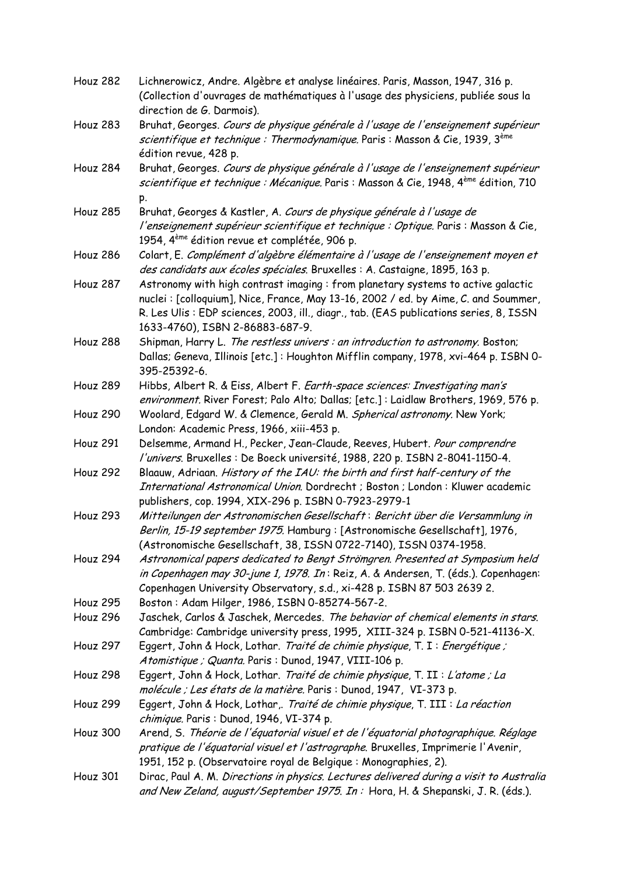| Houz 282        | Lichnerowicz, Andre. Algèbre et analyse linéaires. Paris, Masson, 1947, 316 p.<br>(Collection d'ouvrages de mathématiques à l'usage des physiciens, publiée sous la<br>direction de G. Darmois).                                                                                                    |
|-----------------|-----------------------------------------------------------------------------------------------------------------------------------------------------------------------------------------------------------------------------------------------------------------------------------------------------|
| Houz 283        | Bruhat, Georges. Cours de physique générale à l'usage de l'enseignement supérieur<br>scientifique et technique : Thermodynamique. Paris : Masson & Cie, 1939, 3 <sup>ème</sup><br>édition revue, 428 p.                                                                                             |
| Houz 284        | Bruhat, Georges. Cours de physique générale à l'usage de l'enseignement supérieur<br>scientifique et technique : Mécanique. Paris : Masson & Cie, 1948, 4 <sup>ème</sup> édition, 710                                                                                                               |
| <b>Houz 285</b> | p.<br>Bruhat, Georges & Kastler, A. Cours de physique générale à l'usage de<br>l'enseignement supérieur scientifique et technique : Optique. Paris : Masson & Cie,<br>1954, 4 <sup>ème</sup> édition revue et complétée, 906 p.                                                                     |
| <b>Houz 286</b> | Colart, E. Complément d'algèbre élémentaire à l'usage de l'enseignement moyen et<br>des candidats aux écoles spéciales. Bruxelles : A. Castaigne, 1895, 163 p.                                                                                                                                      |
| Houz 287        | Astronomy with high contrast imaging : from planetary systems to active galactic<br>nuclei: [colloquium], Nice, France, May 13-16, 2002 / ed. by Aime, C. and Soummer,<br>R. Les Ulis : EDP sciences, 2003, ill., diagr., tab. (EAS publications series, 8, ISSN<br>1633-4760), ISBN 2-86883-687-9. |
| Houz 288        | Shipman, Harry L. The restless univers : an introduction to astronomy. Boston;<br>Dallas; Geneva, Illinois [etc.]: Houghton Mifflin company, 1978, xvi-464 p. ISBN 0-<br>395-25392-6.                                                                                                               |
| Houz 289        | Hibbs, Albert R. & Eiss, Albert F. Earth-space sciences: Investigating man's<br>environment. River Forest; Palo Alto; Dallas; [etc.]: Laidlaw Brothers, 1969, 576 p.                                                                                                                                |
| <b>Houz 290</b> | Woolard, Edgard W. & Clemence, Gerald M. Spherical astronomy. New York;<br>London: Academic Press, 1966, xiii-453 p.                                                                                                                                                                                |
| <b>Houz 291</b> | Delsemme, Armand H., Pecker, Jean-Claude, Reeves, Hubert. Pour comprendre<br>l'univers. Bruxelles : De Boeck université, 1988, 220 p. ISBN 2-8041-1150-4.                                                                                                                                           |
| <b>Houz 292</b> | Blaauw, Adriaan. History of the IAU: the birth and first half-century of the<br>International Astronomical Union. Dordrecht ; Boston ; London : Kluwer academic<br>publishers, cop. 1994, XIX-296 p. ISBN 0-7923-2979-1                                                                             |
| <b>Houz 293</b> | Mitteilungen der Astronomischen Gesellschaft: Bericht über die Versammlung in<br>Berlin, 15-19 september 1975. Hamburg : [Astronomische Gesellschaft], 1976,<br>(Astronomische Gesellschaft, 38, ISSN 0722-7140), ISSN 0374-1958.                                                                   |
| Houz 294        | Astronomical papers dedicated to Bengt Strömgren. Presented at Symposium held<br>in Copenhagen may 30-june 1, 1978. In: Reiz, A. & Andersen, T. (éds.). Copenhagen:<br>Copenhagen University Observatory, s.d., xi-428 p. ISBN 87 503 2639 2.                                                       |
| Houz 295        | Boston: Adam Hilger, 1986, ISBN 0-85274-567-2.                                                                                                                                                                                                                                                      |
| Houz 296        | Jaschek, Carlos & Jaschek, Mercedes. The behavior of chemical elements in stars.<br>Cambridge: Cambridge university press, 1995, XIII-324 p. ISBN 0-521-41136-X.                                                                                                                                    |
| <b>Houz 297</b> | Eggert, John & Hock, Lothar. Traité de chimie physique, T. I : Energétique ;<br>Atomistique ; Quanta. Paris : Dunod, 1947, VIII-106 p.                                                                                                                                                              |
| Houz 298        | Eggert, John & Hock, Lothar. Traité de chimie physique, T. II : L'atome ; La<br>molécule ; Les états de la matière. Paris : Dunod, 1947, VI-373 p.                                                                                                                                                  |
| Houz 299        | Eggert, John & Hock, Lothar, Traité de chimie physique, T. III : La réaction                                                                                                                                                                                                                        |
| Houz 300        | chimique. Paris: Dunod, 1946, VI-374 p.<br>Arend, S. Théorie de l'équatorial visuel et de l'équatorial photographique. Réglage<br>pratique de l'équatorial visuel et l'astrographe. Bruxelles, Imprimerie l'Avenir,<br>1951, 152 p. (Observatoire royal de Belgique: Monographies, 2).              |
| Houz 301        | Dirac, Paul A. M. Directions in physics. Lectures delivered during a visit to Australia<br>and New Zeland, august/September 1975. In: Hora, H. & Shepanski, J. R. (éds.).                                                                                                                           |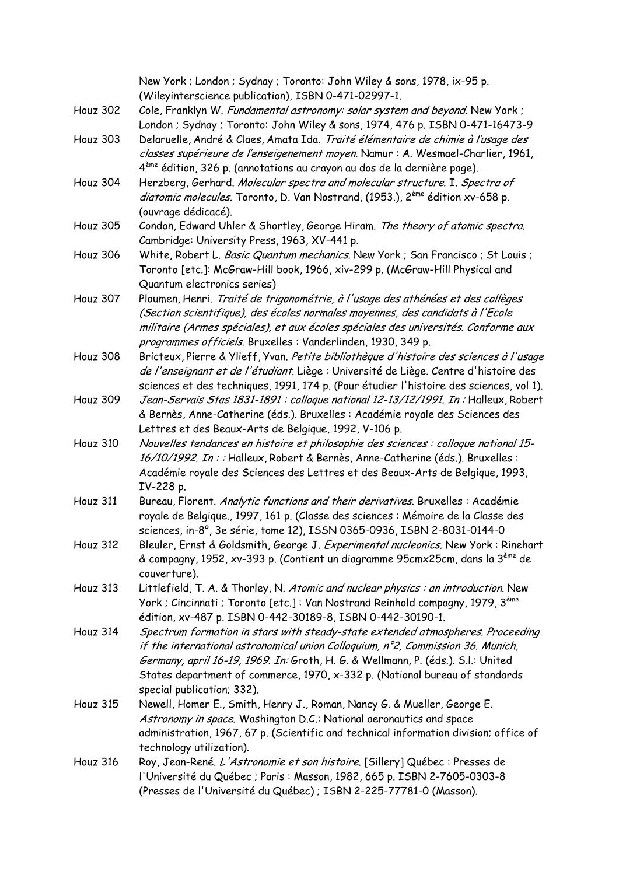|                 | New York; London; Sydnay; Toronto: John Wiley & sons, 1978, ix-95 p.<br>(Wileyinterscience publication), ISBN 0-471-02997-1. |
|-----------------|------------------------------------------------------------------------------------------------------------------------------|
|                 | Cole, Franklyn W. Fundamental astronomy: solar system and beyond. New York;                                                  |
| Houz 302        | London ; Sydnay ; Toronto: John Wiley & sons, 1974, 476 p. ISBN 0-471-16473-9                                                |
| Houz 303        | Delaruelle, André & Claes, Amata Ida. Traité élémentaire de chimie à l'usage des                                             |
|                 |                                                                                                                              |
|                 | classes supérieure de l'enseigenement moyen. Namur : A. Wesmael-Charlier, 1961,                                              |
|                 | 4 <sup>ème</sup> édition, 326 p. (annotations au crayon au dos de la dernière page).                                         |
| Houz 304        | Herzberg, Gerhard. Molecular spectra and molecular structure. I. Spectra of                                                  |
|                 | diatomic molecules. Toronto, D. Van Nostrand, (1953.), 2 <sup>ème</sup> édition xv-658 p.                                    |
|                 | (ouvrage dédicacé).                                                                                                          |
| <b>Houz 305</b> | Condon, Edward Uhler & Shortley, George Hiram. The theory of atomic spectra.                                                 |
|                 | Cambridge: University Press, 1963, XV-441 p.                                                                                 |
| Houz 306        | White, Robert L. Basic Quantum mechanics. New York ; San Francisco ; St Louis ;                                              |
|                 | Toronto [etc.]: McGraw-Hill book, 1966, xiv-299 p. (McGraw-Hill Physical and                                                 |
|                 | Quantum electronics series)                                                                                                  |
| Houz 307        | Ploumen, Henri. Traité de trigonométrie, à l'usage des athénées et des collèges                                              |
|                 | (Section scientifique), des écoles normales moyennes, des candidats à l'Ecole                                                |
|                 | militaire (Armes spéciales), et aux écoles spéciales des universités. Conforme aux                                           |
|                 | programmes officiels. Bruxelles : Vanderlinden, 1930, 349 p.                                                                 |
| Houz 308        | Bricteux, Pierre & Ylieff, Yvan. Petite bibliothèque d'histoire des sciences à l'usage                                       |
|                 | de l'enseignant et de l'étudiant. Liège : Université de Liège. Centre d'histoire des                                         |
|                 | sciences et des techniques, 1991, 174 p. (Pour étudier l'histoire des sciences, vol 1).                                      |
| Houz 309        | Jean-Servais Stas 1831-1891 : colloque national 12-13/12/1991. In : Halleux, Robert                                          |
|                 | & Bernès, Anne-Catherine (éds.). Bruxelles : Académie royale des Sciences des                                                |
|                 | Lettres et des Beaux-Arts de Belgique, 1992, V-106 p.                                                                        |
| Houz 310        | Nouvelles tendances en histoire et philosophie des sciences : colloque national 15-                                          |
|                 | 16/10/1992. In:: Halleux, Robert & Bernès, Anne-Catherine (éds.). Bruxelles :                                                |
|                 | Académie royale des Sciences des Lettres et des Beaux-Arts de Belgique, 1993,                                                |
|                 | IV-228 p.                                                                                                                    |
| Houz 311        | Bureau, Florent. Analytic functions and their derivatives. Bruxelles : Académie                                              |
|                 | royale de Belgique., 1997, 161 p. (Classe des sciences : Mémoire de la Classe des                                            |
|                 | sciences, in-8°, 3e série, tome 12), ISSN 0365-0936, ISBN 2-8031-0144-0                                                      |
| Houz 312        | Bleuler, Ernst & Goldsmith, George J. Experimental nucleonics. New York: Rinehart                                            |
|                 | & compagny, 1952, xv-393 p. (Contient un diagramme 95cmx25cm, dans la 3 <sup>ème</sup> de                                    |
|                 | couverture).                                                                                                                 |
| Houz 313        | Littlefield, T. A. & Thorley, N. Atomic and nuclear physics : an introduction. New                                           |
|                 | York; Cincinnati; Toronto [etc.]: Van Nostrand Reinhold compagny, 1979, 3 <sup>ème</sup>                                     |
|                 | édition, xv-487 p. ISBN 0-442-30189-8, ISBN 0-442-30190-1.                                                                   |
| Houz 314        | Spectrum formation in stars with steady-state extended atmospheres. Proceeding                                               |
|                 | if the international astronomical union Colloquium, $n^{\circ}2$ , Commission 36. Munich,                                    |
|                 | Germany, april 16-19, 1969. In: Groth, H. G. & Wellmann, P. (éds.). S.l.: United                                             |
|                 | States department of commerce, 1970, x-332 p. (National bureau of standards                                                  |
|                 | special publication; 332).                                                                                                   |
| <b>Houz 315</b> | Newell, Homer E., Smith, Henry J., Roman, Nancy G. & Mueller, George E.                                                      |
|                 | Astronomy in space. Washington D.C.: National aeronautics and space                                                          |
|                 | administration, 1967, 67 p. (Scientific and technical information division; office of                                        |
|                 | technology utilization).                                                                                                     |
| Houz 316        | Roy, Jean-René. L'Astronomie et son histoire. [Sillery] Québec : Presses de                                                  |
|                 | l'Université du Québec ; Paris : Masson, 1982, 665 p. ISBN 2-7605-0303-8                                                     |
|                 | (Presses de l'Université du Québec) ; ISBN 2-225-77781-0 (Masson).                                                           |
|                 |                                                                                                                              |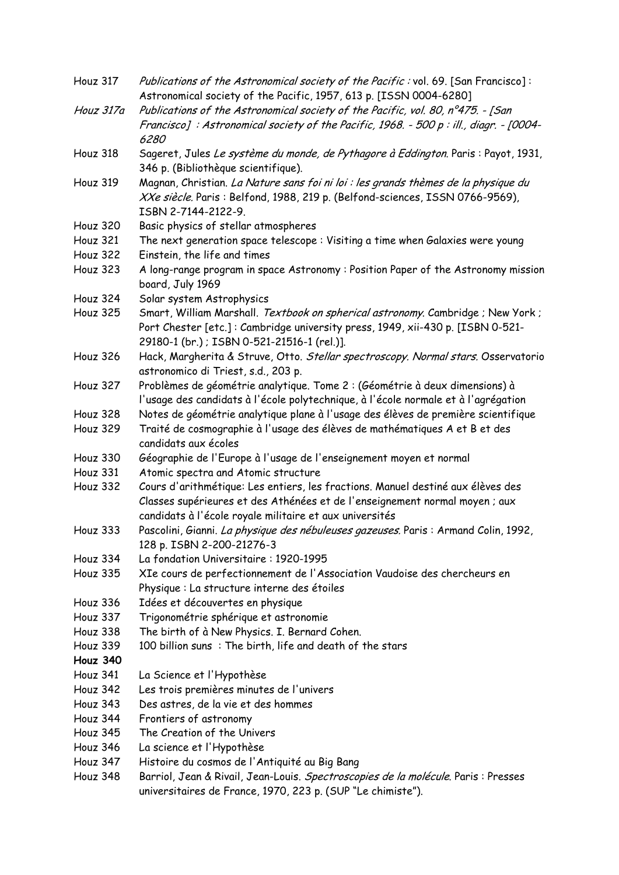| Houz 317        | <i>Publications of the Astronomical society of the Pacific :</i> vol. 69. [San Francisco]: |
|-----------------|--------------------------------------------------------------------------------------------|
|                 | Astronomical society of the Pacific, 1957, 613 p. [ISSN 0004-6280]                         |
| Houz 317a       | Publications of the Astronomical society of the Pacific, vol. 80, n°475. - [San            |
|                 | Francisco]: Astronomical society of the Pacific, 1968. - 500 p: ill., diagr. - [0004-      |
|                 | 6280                                                                                       |
| Houz 318        | Sageret, Jules Le système du monde, de Pythagore à Eddington. Paris : Payot, 1931,         |
|                 | 346 p. (Bibliothèque scientifique).                                                        |
| Houz 319        | Magnan, Christian. La Nature sans foi ni loi : les grands thèmes de la physique du         |
|                 | XXe siècle. Paris : Belfond, 1988, 219 p. (Belfond-sciences, ISSN 0766-9569),              |
|                 | ISBN 2-7144-2122-9.                                                                        |
| <b>Houz 320</b> | Basic physics of stellar atmospheres                                                       |
| <b>Houz 321</b> | The next generation space telescope: Visiting a time when Galaxies were young              |
| <b>Houz 322</b> | Einstein, the life and times                                                               |
| Houz 323        | A long-range program in space Astronomy: Position Paper of the Astronomy mission           |
|                 | board, July 1969                                                                           |
| Houz 324        | Solar system Astrophysics                                                                  |
| <b>Houz 325</b> | Smart, William Marshall. Textbook on spherical astronomy. Cambridge ; New York;            |
|                 | Port Chester [etc.]: Cambridge university press, 1949, xii-430 p. [ISBN 0-521-             |
|                 | 29180-1 (br.) ; ISBN 0-521-21516-1 (rel.)].                                                |
| Houz 326        | Hack, Margherita & Struve, Otto. Stellar spectroscopy. Normal stars. Osservatorio          |
|                 | astronomico di Triest, s.d., 203 p.                                                        |
| Houz 327        | Problèmes de géométrie analytique. Tome 2 : (Géométrie à deux dimensions) à                |
|                 | l'usage des candidats à l'école polytechnique, à l'école normale et à l'agrégation         |
| Houz 328        | Notes de géométrie analytique plane à l'usage des élèves de première scientifique          |
| <b>Houz 329</b> | Traité de cosmographie à l'usage des élèves de mathématiques A et B et des                 |
|                 | candidats aux écoles                                                                       |
| Houz 330        | Géographie de l'Europe à l'usage de l'enseignement moyen et normal                         |
| Houz 331        | Atomic spectra and Atomic structure                                                        |
| Houz 332        | Cours d'arithmétique: Les entiers, les fractions. Manuel destiné aux élèves des            |
|                 | Classes supérieures et des Athénées et de l'enseignement normal moyen ; aux                |
|                 | candidats à l'école royale militaire et aux universités                                    |
| Houz 333        | Pascolini, Gianni. La physique des nébuleuses gazeuses. Paris : Armand Colin, 1992,        |
|                 | 128 p. ISBN 2-200-21276-3                                                                  |
| Houz 334        | La fondation Universitaire: 1920-1995                                                      |
| Houz 335        | XIe cours de perfectionnement de l'Association Vaudoise des chercheurs en                  |
|                 | Physique : La structure interne des étoiles                                                |
| Houz 336        | Idées et découvertes en physique                                                           |
| Houz 337        | Trigonométrie sphérique et astronomie                                                      |
| Houz 338        | The birth of à New Physics. I. Bernard Cohen.                                              |
| Houz 339        | 100 billion suns: The birth, life and death of the stars                                   |
| Houz 340        |                                                                                            |
| Houz 341        | La Science et l'Hypothèse                                                                  |
| Houz 342        | Les trois premières minutes de l'univers                                                   |
| Houz 343        | Des astres, de la vie et des hommes                                                        |
| Houz 344        | Frontiers of astronomy                                                                     |
| Houz 345        | The Creation of the Univers                                                                |
| Houz 346        | La science et l'Hypothèse                                                                  |
| Houz 347        | Histoire du cosmos de l'Antiquité au Big Bang                                              |
| Houz 348        | Barriol, Jean & Rivail, Jean-Louis. Spectroscopies de la molécule. Paris : Presses         |
|                 | universitaires de France, 1970, 223 p. (SUP "Le chimiste").                                |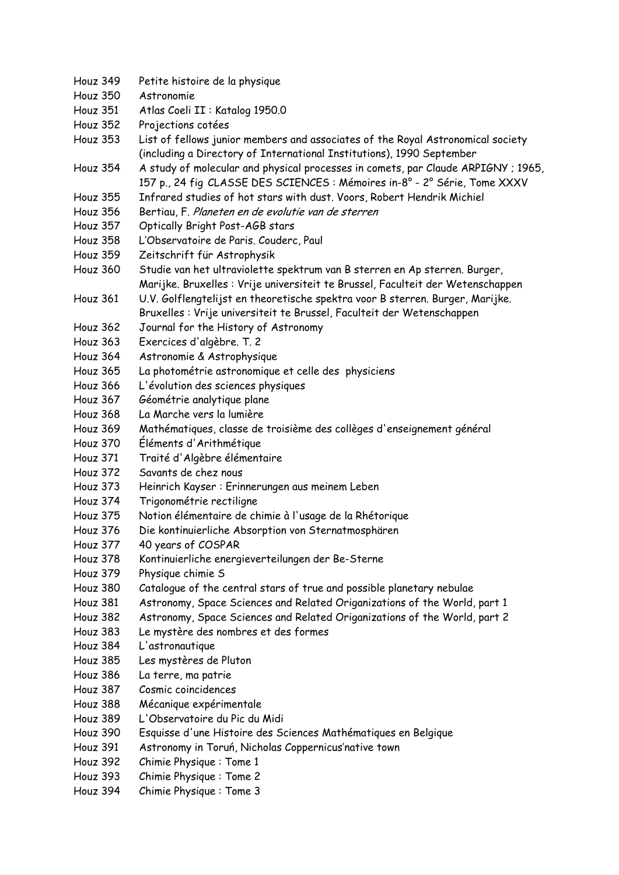Houz 349 Petite histoire de la physique Houz 350 Astronomie Houz 351 Atlas Coeli II : Katalog 1950.0 Houz 352 Projections cotées Houz 353 List of fellows junior members and associates of the Royal Astronomical society (including a Directory of International Institutions), 1990 September Houz 354 A study of molecular and physical processes in comets, par Claude ARPIGNY ; 1965, 157 p., 24 fig CLASSE DES SCIENCES : Mémoires in-8° - 2° Série, Tome XXXV Houz 355 Infrared studies of hot stars with dust. Voors, Robert Hendrik Michiel Houz 356 Bertiau, F. Planeten en de evolutie van de sterren Houz 357 Optically Bright Post-AGB stars Houz 358 L'Observatoire de Paris. Couderc, Paul Houz 359 Zeitschrift für Astrophysik Houz 360 Studie van het ultraviolette spektrum van B sterren en Ap sterren. Burger, Marijke. Bruxelles : Vrije universiteit te Brussel, Faculteit der Wetenschappen Houz 361 U.V. Golflengtelijst en theoretische spektra voor B sterren. Burger, Marijke. Bruxelles : Vrije universiteit te Brussel, Faculteit der Wetenschappen Houz 362 Journal for the History of Astronomy Houz 363 Exercices d'algèbre. T. 2 Houz 364 Astronomie & Astrophysique Houz 365 La photométrie astronomique et celle des physiciens Houz 366 L'évolution des sciences physiques Houz 367 Géométrie analytique plane Houz 368 La Marche vers la lumière Houz 369 Mathématiques, classe de troisième des collèges d'enseignement général Houz 370 Éléments d'Arithmétique Houz 371 Traité d'Algèbre élémentaire Houz 372 Savants de chez nous Houz 373 Heinrich Kayser : Erinnerungen aus meinem Leben Houz 374 Trigonométrie rectiligne Houz 375 Notion élémentaire de chimie à l'usage de la Rhétorique Houz 376 Die kontinuierliche Absorption von Sternatmosphären Houz 377 40 years of COSPAR Houz 378 Kontinuierliche energieverteilungen der Be-Sterne Houz 379 Physique chimie S Houz 380 Catalogue of the central stars of true and possible planetary nebulae Houz 381 Astronomy, Space Sciences and Related Origanizations of the World, part 1 Houz 382 Astronomy, Space Sciences and Related Origanizations of the World, part 2 Houz 383 Le mystère des nombres et des formes Houz 384 L'astronautique Houz 385 Les mystères de Pluton Houz 386 La terre, ma patrie Houz 387 Cosmic coincidences Houz 388 Mécanique expérimentale Houz 389 L'Observatoire du Pic du Midi Houz 390 Esquisse d'une Histoire des Sciences Mathématiques en Belgique Houz 391 Astronomy in Toruń, Nicholas Coppernicus'native town Houz 392 Chimie Physique : Tome 1 Houz 393 Chimie Physique : Tome 2 Houz 394 Chimie Physique : Tome 3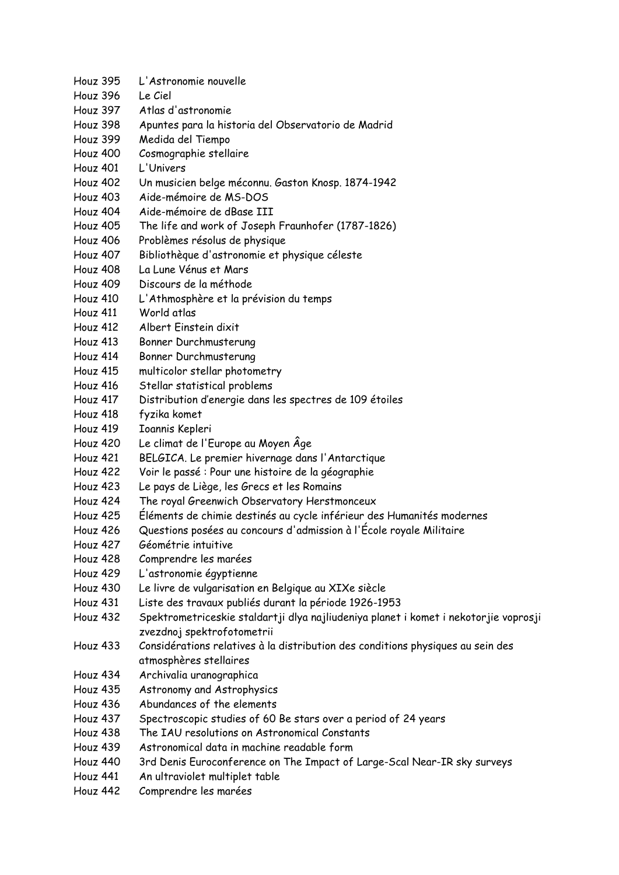- Houz 395 L'Astronomie nouvelle
- Houz 396 Le Ciel
- Houz 397 Atlas d'astronomie
- Houz 398 Apuntes para la historia del Observatorio de Madrid
- Houz 399 Medida del Tiempo
- Houz 400 Cosmographie stellaire
- Houz 401 L'Univers
- Houz 402 Un musicien belge méconnu. Gaston Knosp. 1874-1942
- Houz 403 Aide-mémoire de MS-DOS
- Houz 404 Aide-mémoire de dBase III
- Houz 405 The life and work of Joseph Fraunhofer (1787-1826)
- Houz 406 Problèmes résolus de physique
- Houz 407 Bibliothèque d'astronomie et physique céleste
- Houz 408 La Lune Vénus et Mars
- Houz 409 Discours de la méthode
- Houz 410 L'Athmosphère et la prévision du temps
- Houz 411 World atlas
- Houz 412 Albert Einstein dixit
- Houz 413 Bonner Durchmusterung
- Houz 414 Bonner Durchmusterung
- Houz 415 multicolor stellar photometry
- Houz 416 Stellar statistical problems
- Houz 417 Distribution d'energie dans les spectres de 109 étoiles
- Houz 418 fyzika komet
- Houz 419 Ioannis Kepleri
- Houz 420 Le climat de l'Europe au Moyen Âge
- Houz 421 BELGICA. Le premier hivernage dans l'Antarctique
- Houz 422 Voir le passé : Pour une histoire de la géographie
- Houz 423 Le pays de Liège, les Grecs et les Romains
- Houz 424 The royal Greenwich Observatory Herstmonceux
- Houz 425 Éléments de chimie destinés au cycle inférieur des Humanités modernes
- Houz 426 Questions posées au concours d'admission à l'École royale Militaire
- Houz 427 Géométrie intuitive
- Houz 428 Comprendre les marées
- Houz 429 L'astronomie égyptienne
- Houz 430 Le livre de vulgarisation en Belgique au XIXe siècle
- Houz 431 Liste des travaux publiés durant la période 1926-1953
- Houz 432 Spektrometriceskie staldartji dlya najliudeniya planet i komet i nekotorjie voprosji zvezdnoj spektrofotometrii
- Houz 433 Considérations relatives à la distribution des conditions physiques au sein des atmosphères stellaires
- Houz 434 Archivalia uranographica
- Houz 435 Astronomy and Astrophysics
- Houz 436 Abundances of the elements
- Houz 437 Spectroscopic studies of 60 Be stars over a period of 24 years
- Houz 438 The IAU resolutions on Astronomical Constants
- Houz 439 Astronomical data in machine readable form
- Houz 440 3rd Denis Euroconference on The Impact of Large-Scal Near-IR sky surveys
- Houz 441 An ultraviolet multiplet table
- Houz 442 Comprendre les marées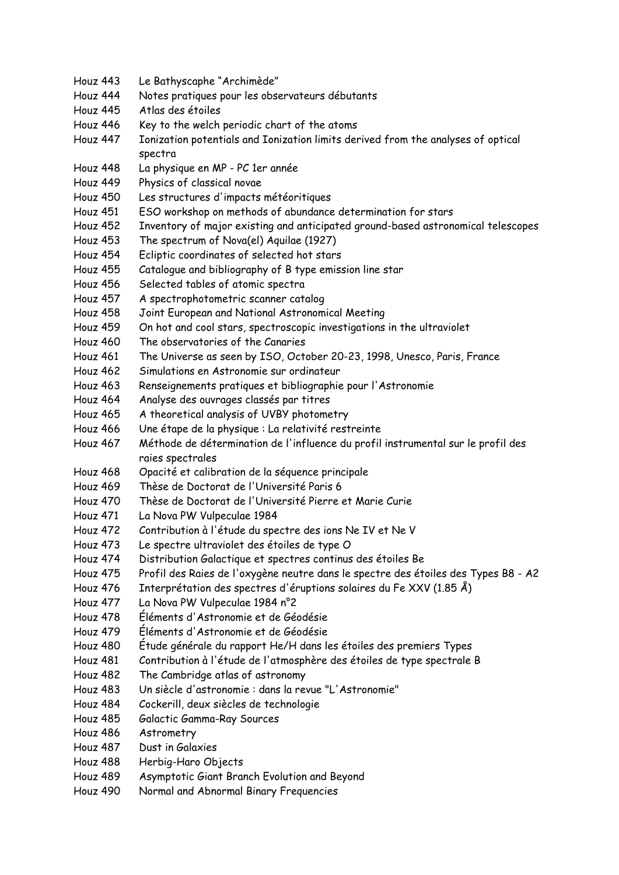- Houz 444 Notes pratiques pour les observateurs débutants
- Houz 445 Atlas des étoiles
- Houz 446 Key to the welch periodic chart of the atoms
- Houz 447 Ionization potentials and Ionization limits derived from the analyses of optical spectra
- Houz 448 La physique en MP PC 1er année
- Houz 449 Physics of classical novae
- Houz 450 Les structures d'impacts météoritiques
- Houz 451 ESO workshop on methods of abundance determination for stars
- Houz 452 Inventory of major existing and anticipated ground-based astronomical telescopes
- Houz 453 The spectrum of Nova(el) Aquilae (1927)
- Houz 454 Ecliptic coordinates of selected hot stars
- Houz 455 Catalogue and bibliography of B type emission line star
- Houz 456 Selected tables of atomic spectra
- Houz 457 A spectrophotometric scanner catalog
- Houz 458 Joint European and National Astronomical Meeting
- Houz 459 On hot and cool stars, spectroscopic investigations in the ultraviolet
- Houz 460 The observatories of the Canaries
- Houz 461 The Universe as seen by ISO, October 20-23, 1998, Unesco, Paris, France
- Houz 462 Simulations en Astronomie sur ordinateur
- Houz 463 Renseignements pratiques et bibliographie pour l'Astronomie
- Houz 464 Analyse des ouvrages classés par titres
- Houz 465 A theoretical analysis of UVBY photometry
- Houz 466 Une étape de la physique : La relativité restreinte
- Houz 467 Méthode de détermination de l'influence du profil instrumental sur le profil des raies spectrales
- Houz 468 Opacité et calibration de la séquence principale
- Houz 469 Thèse de Doctorat de l'Université Paris 6
- Houz 470 Thèse de Doctorat de l'Université Pierre et Marie Curie
- Houz 471 La Nova PW Vulpeculae 1984
- Houz 472 Contribution à l'étude du spectre des ions Ne IV et Ne V
- Houz 473 Le spectre ultraviolet des étoiles de type O
- Houz 474 Distribution Galactique et spectres continus des étoiles Be
- Houz 475 Profil des Raies de l'oxygène neutre dans le spectre des étoiles des Types B8 A2
- Houz 476 Interprétation des spectres d'éruptions solaires du Fe XXV (1.85 Å)
- Houz 477 La Nova PW Vulpeculae 1984 n°2
- Houz 478 Éléments d'Astronomie et de Géodésie
- Houz 479 Éléments d'Astronomie et de Géodésie
- Houz 480 Étude générale du rapport He/H dans les étoiles des premiers Types
- Houz 481 Contribution à l'étude de l'atmosphère des étoiles de type spectrale B
- Houz 482 The Cambridge atlas of astronomy
- Houz 483 Un siècle d'astronomie : dans la revue "L'Astronomie"
- Houz 484 Cockerill, deux siècles de technologie
- Houz 485 Galactic Gamma-Ray Sources
- Houz 486 Astrometry
- Houz 487 Dust in Galaxies
- Houz 488 Herbig-Haro Objects
- Houz 489 Asymptotic Giant Branch Evolution and Beyond
- Houz 490 Normal and Abnormal Binary Frequencies

Houz 443 Le Bathyscaphe "Archimède"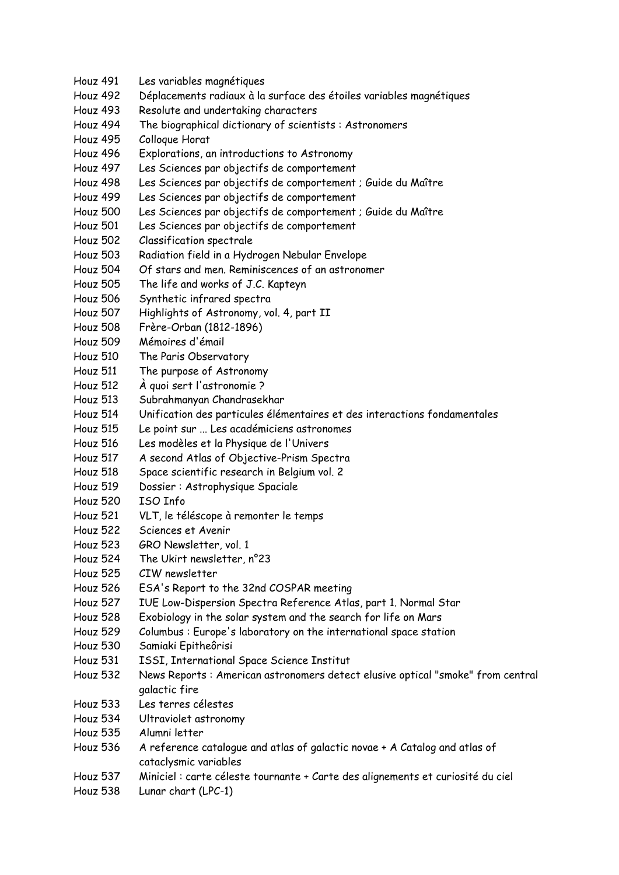Houz 491 Les variables magnétiques Houz 492 Déplacements radiaux à la surface des étoiles variables magnétiques Houz 493 Resolute and undertaking characters Houz 494 The biographical dictionary of scientists : Astronomers Houz 495 Colloque Horat Houz 496 Explorations, an introductions to Astronomy Houz 497 Les Sciences par objectifs de comportement Houz 498 Les Sciences par objectifs de comportement ; Guide du Maître Houz 499 Les Sciences par objectifs de comportement Houz 500 Les Sciences par objectifs de comportement ; Guide du Maître Houz 501 Les Sciences par objectifs de comportement Houz 502 Classification spectrale Houz 503 Radiation field in a Hydrogen Nebular Envelope Houz 504 Of stars and men. Reminiscences of an astronomer Houz 505 The life and works of J.C. Kapteyn Houz 506 Synthetic infrared spectra Houz 507 Highlights of Astronomy, vol. 4, part II Houz 508 Frère-Orban (1812-1896) Houz 509 Mémoires d'émail Houz 510 The Paris Observatory Houz 511 The purpose of Astronomy Houz 512 À quoi sert l'astronomie ? Houz 513 Subrahmanyan Chandrasekhar Houz 514 Unification des particules élémentaires et des interactions fondamentales Houz 515 Le point sur ... Les académiciens astronomes Houz 516 Les modèles et la Physique de l'Univers Houz 517 A second Atlas of Objective-Prism Spectra Houz 518 Space scientific research in Belgium vol. 2 Houz 519 Dossier : Astrophysique Spaciale Houz 520 ISO Info Houz 521 VLT, le téléscope à remonter le temps Houz 522 Sciences et Avenir Houz 523 GRO Newsletter, vol. 1 Houz 524 The Ukirt newsletter, n°23 Houz 525 CIW newsletter Houz 526 ESA's Report to the 32nd COSPAR meeting Houz 527 IUE Low-Dispersion Spectra Reference Atlas, part 1. Normal Star Houz 528 Exobiology in the solar system and the search for life on Mars Houz 529 Columbus : Europe's laboratory on the international space station Houz 530 Samiaki Epitheôrisi Houz 531 ISSI, International Space Science Institut Houz 532 News Reports : American astronomers detect elusive optical "smoke" from central galactic fire Houz 533 Les terres célestes Houz 534 Ultraviolet astronomy Houz 535 Alumni letter Houz 536 A reference catalogue and atlas of galactic novae + A Catalog and atlas of cataclysmic variables Houz 537 Miniciel : carte céleste tournante + Carte des alignements et curiosité du ciel Houz 538 Lunar chart (LPC-1)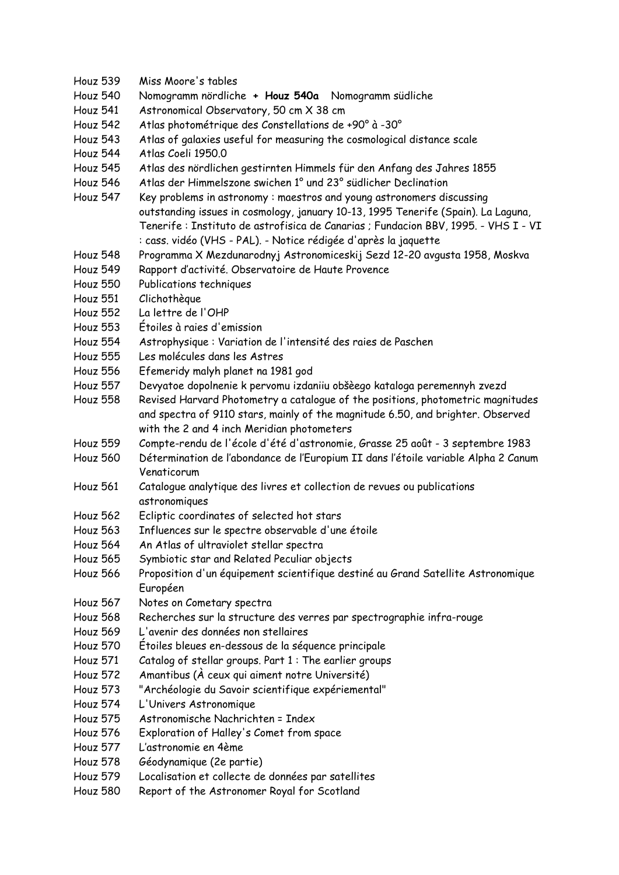- Houz 539 Miss Moore's tables
- Houz 540 Nomogramm nördliche **+ Houz 540a** Nomogramm südliche
- Houz 541 Astronomical Observatory, 50 cm X 38 cm
- Houz 542 Atlas photométrique des Constellations de +90° à -30°
- Houz 543 Atlas of galaxies useful for measuring the cosmological distance scale
- Houz 544 Atlas Coeli 1950.0
- Houz 545 Atlas des nördlichen gestirnten Himmels für den Anfang des Jahres 1855
- Houz 546 Atlas der Himmelszone swichen 1° und 23° südlicher Declination
- Houz 547 Key problems in astronomy : maestros and young astronomers discussing outstanding issues in cosmology, january 10-13, 1995 Tenerife (Spain). La Laguna, Tenerife : Instituto de astrofisica de Canarias ; Fundacion BBV, 1995. - VHS I - VI : cass. vidéo (VHS - PAL). - Notice rédigée d'après la jaquette
- Houz 548 Programma X Mezdunarodnyj Astronomiceskij Sezd 12-20 avgusta 1958, Moskva
- Houz 549 Rapport d'activité. Observatoire de Haute Provence
- Houz 550 Publications techniques
- Houz 551 Clichothèque
- Houz 552 La lettre de l'OHP
- Houz 553 Étoiles à raies d'emission
- Houz 554 Astrophysique : Variation de l'intensité des raies de Paschen
- Houz 555 Les molécules dans les Astres
- Houz 556 Efemeridy malyh planet na 1981 god
- Houz 557 Devyatoe dopolnenie k pervomu izdaniiu obšèego kataloga peremennyh zvezd
- Houz 558 Revised Harvard Photometry a catalogue of the positions, photometric magnitudes and spectra of 9110 stars, mainly of the magnitude 6.50, and brighter. Observed with the 2 and 4 inch Meridian photometers
- Houz 559 Compte-rendu de l'école d'été d'astronomie, Grasse 25 août 3 septembre 1983
- Houz 560 Détermination de l'abondance de l'Europium II dans l'étoile variable Alpha 2 Canum Venaticorum
- Houz 561 Catalogue analytique des livres et collection de revues ou publications astronomiques
- Houz 562 Ecliptic coordinates of selected hot stars
- Houz 563 Influences sur le spectre observable d'une étoile
- Houz 564 An Atlas of ultraviolet stellar spectra
- Houz 565 Symbiotic star and Related Peculiar objects
- Houz 566 Proposition d'un équipement scientifique destiné au Grand Satellite Astronomique Européen
- Houz 567 Notes on Cometary spectra
- Houz 568 Recherches sur la structure des verres par spectrographie infra-rouge
- Houz 569 L'avenir des données non stellaires
- Houz 570 Étoiles bleues en-dessous de la séquence principale
- Houz 571 Catalog of stellar groups. Part 1 : The earlier groups
- Houz 572 Amantibus (À ceux qui aiment notre Université)
- Houz 573 "Archéologie du Savoir scientifique expériemental"
- Houz 574 L'Univers Astronomique
- Houz 575 Astronomische Nachrichten = Index
- Houz 576 Exploration of Halley's Comet from space
- Houz 577 L'astronomie en 4ème
- Houz 578 Géodynamique (2e partie)
- Houz 579 Localisation et collecte de données par satellites
- Houz 580 Report of the Astronomer Royal for Scotland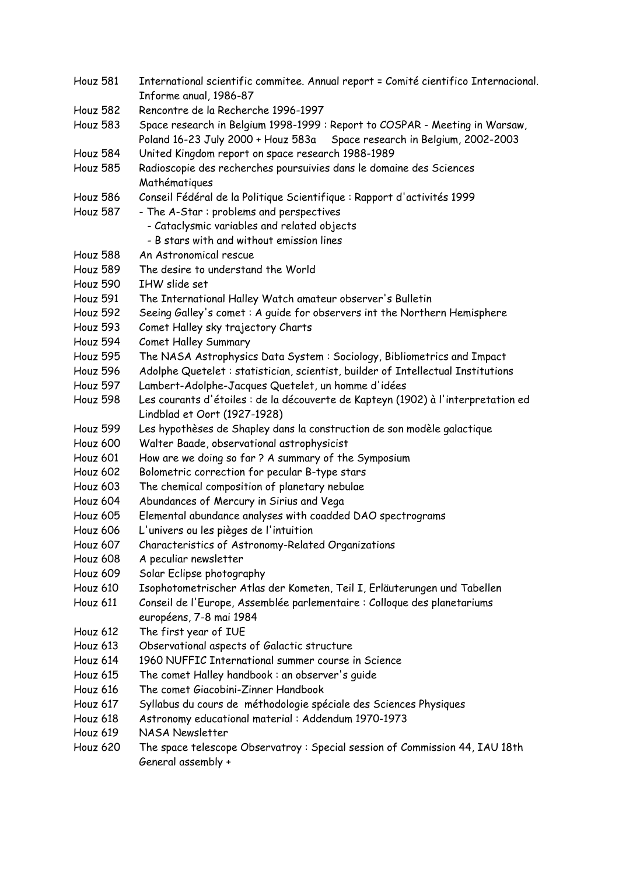Houz 581 International scientific commitee. Annual report = Comité cientifico Internacional. Informe anual, 1986-87 Houz 582 Rencontre de la Recherche 1996-1997 Houz 583 Space research in Belgium 1998-1999 : Report to COSPAR - Meeting in Warsaw, Poland 16-23 July 2000 + Houz 583a Space research in Belgium, 2002-2003 Houz 584 United Kingdom report on space research 1988-1989 Houz 585 Radioscopie des recherches poursuivies dans le domaine des Sciences Mathématiques Houz 586 Conseil Fédéral de la Politique Scientifique : Rapport d'activités 1999 Houz 587 - The A-Star : problems and perspectives - Cataclysmic variables and related objects - B stars with and without emission lines Houz 588 An Astronomical rescue Houz 589 The desire to understand the World Houz 590 IHW slide set Houz 591 The International Halley Watch amateur observer's Bulletin Houz 592 Seeing Galley's comet : A guide for observers int the Northern Hemisphere Houz 593 Comet Halley sky trajectory Charts Houz 594 Comet Halley Summary Houz 595 The NASA Astrophysics Data System : Sociology, Bibliometrics and Impact Houz 596 Adolphe Quetelet : statistician, scientist, builder of Intellectual Institutions Houz 597 Lambert-Adolphe-Jacques Quetelet, un homme d'idées Houz 598 Les courants d'étoiles : de la découverte de Kapteyn (1902) à l'interpretation ed Lindblad et Oort (1927-1928) Houz 599 Les hypothèses de Shapley dans la construction de son modèle galactique Houz 600 Walter Baade, observational astrophysicist Houz 601 How are we doing so far ? A summary of the Symposium Houz 602 Bolometric correction for pecular B-type stars Houz 603 The chemical composition of planetary nebulae Houz 604 Abundances of Mercury in Sirius and Vega Houz 605 Elemental abundance analyses with coadded DAO spectrograms Houz 606 L'univers ou les pièges de l'intuition Houz 607 Characteristics of Astronomy-Related Organizations Houz 608 A peculiar newsletter Houz 609 Solar Eclipse photography Houz 610 Isophotometrischer Atlas der Kometen, Teil I, Erläuterungen und Tabellen Houz 611 Conseil de l'Europe, Assemblée parlementaire : Colloque des planetariums européens, 7-8 mai 1984 Houz 612 The first year of IUE Houz 613 Observational aspects of Galactic structure Houz 614 1960 NUFFIC International summer course in Science Houz 615 The comet Halley handbook : an observer's guide Houz 616 The comet Giacobini-Zinner Handbook Houz 617 Syllabus du cours de méthodologie spéciale des Sciences Physiques Houz 618 Astronomy educational material : Addendum 1970-1973 Houz 619 NASA Newsletter Houz 620 The space telescope Observatroy : Special session of Commission 44, IAU 18th General assembly +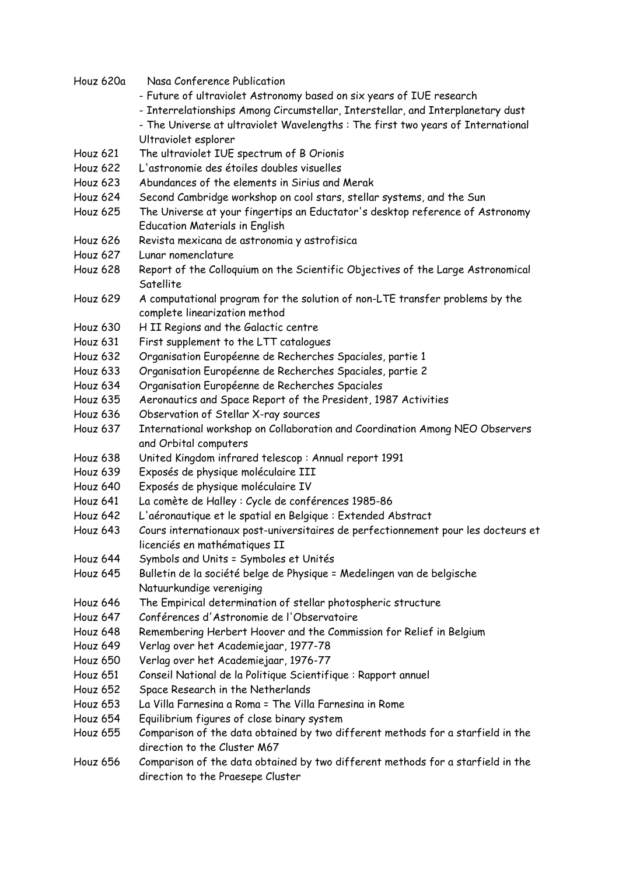| Houz 620a       | Nasa Conference Publication                                                       |
|-----------------|-----------------------------------------------------------------------------------|
|                 | - Future of ultraviolet Astronomy based on six years of IUE research              |
|                 | - Interrelationships Among Circumstellar, Interstellar, and Interplanetary dust   |
|                 | - The Universe at ultraviolet Wavelengths : The first two years of International  |
|                 | Ultraviolet esplorer                                                              |
| <b>Houz 621</b> | The ultraviolet IUE spectrum of B Orionis                                         |
| <b>Houz 622</b> | L'astronomie des étoiles doubles visuelles                                        |
| Houz 623        | Abundances of the elements in Sirius and Merak                                    |
| Houz 624        | Second Cambridge workshop on cool stars, stellar systems, and the Sun             |
| Houz 625        | The Universe at your fingertips an Eductator's desktop reference of Astronomy     |
|                 | <b>Education Materials in English</b>                                             |
| Houz 626        | Revista mexicana de astronomia y astrofisica                                      |
| Houz 627        | Lunar nomenclature                                                                |
| Houz 628        | Report of the Colloquium on the Scientific Objectives of the Large Astronomical   |
|                 | Satellite                                                                         |
| Houz 629        | A computational program for the solution of non-LTE transfer problems by the      |
|                 | complete linearization method                                                     |
| Houz 630        | H II Regions and the Galactic centre                                              |
| Houz 631        | First supplement to the LTT catalogues                                            |
| Houz 632        | Organisation Européenne de Recherches Spaciales, partie 1                         |
| Houz 633        | Organisation Européenne de Recherches Spaciales, partie 2                         |
| Houz 634        | Organisation Européenne de Recherches Spaciales                                   |
| Houz 635        | Aeronautics and Space Report of the President, 1987 Activities                    |
| Houz 636        | Observation of Stellar X-ray sources                                              |
| Houz 637        | International workshop on Collaboration and Coordination Among NEO Observers      |
|                 | and Orbital computers                                                             |
| Houz 638        | United Kingdom infrared telescop: Annual report 1991                              |
| Houz 639        | Exposés de physique moléculaire III                                               |
| Houz 640        | Exposés de physique moléculaire IV                                                |
| Houz 641        | La comète de Halley : Cycle de conférences 1985-86                                |
| Houz 642        | L'aéronautique et le spatial en Belgique : Extended Abstract                      |
| Houz 643        | Cours internationaux post-universitaires de perfectionnement pour les docteurs et |
|                 | licenciés en mathématiques II                                                     |
| Houz 644        | Symbols and Units = Symboles et Unités                                            |
| Houz 645        | Bulletin de la société belge de Physique = Medelingen van de belgische            |
|                 | Natuurkundige vereniging                                                          |
| Houz 646        | The Empirical determination of stellar photospheric structure                     |
| Houz 647        | Conférences d'Astronomie de l'Observatoire                                        |
| Houz 648        | Remembering Herbert Hoover and the Commission for Relief in Belgium               |
| Houz 649        | Verlag over het Academiejaar, 1977-78                                             |
| Houz 650        | Verlag over het Academiejaar, 1976-77                                             |
| Houz 651        | Conseil National de la Politique Scientifique : Rapport annuel                    |
| Houz 652        | Space Research in the Netherlands                                                 |
| Houz 653        | La Villa Farnesina a Roma = The Villa Farnesina in Rome                           |
| Houz 654        | Equilibrium figures of close binary system                                        |
| Houz 655        | Comparison of the data obtained by two different methods for a starfield in the   |
|                 | direction to the Cluster M67                                                      |
| Houz 656        | Comparison of the data obtained by two different methods for a starfield in the   |
|                 | direction to the Praesepe Cluster                                                 |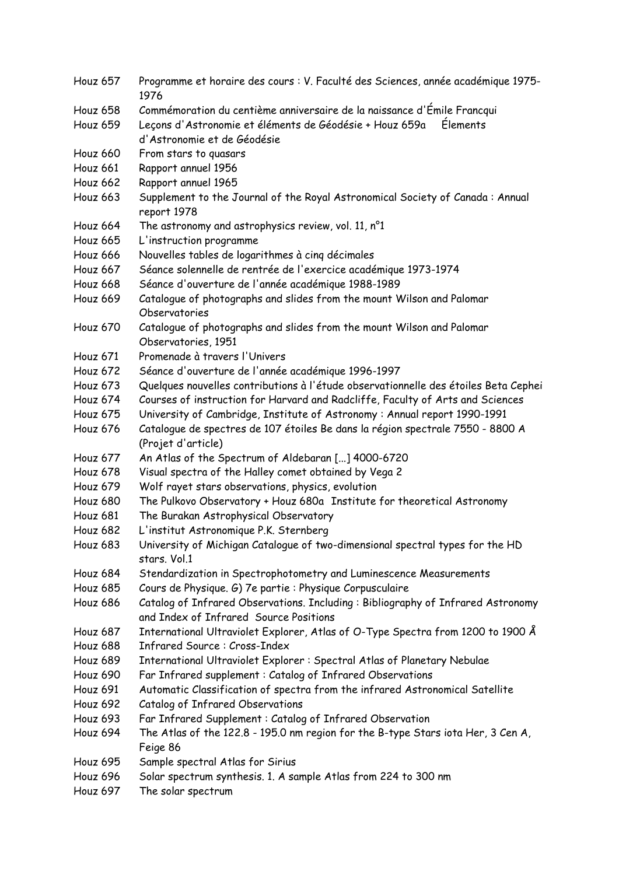- Houz 657 Programme et horaire des cours : V. Faculté des Sciences, année académique 1975- 1976
- Houz 658 Commémoration du centième anniversaire de la naissance d'Émile Francqui
- Houz 659 Leçons d'Astronomie et éléments de Géodésie + Houz 659a Élements d'Astronomie et de Géodésie
- Houz 660 From stars to quasars
- Houz 661 Rapport annuel 1956
- Houz 662 Rapport annuel 1965
- Houz 663 Supplement to the Journal of the Royal Astronomical Society of Canada : Annual report 1978
- Houz 664 The astronomy and astrophysics review, vol. 11, n°1
- Houz 665 L'instruction programme
- Houz 666 Nouvelles tables de logarithmes à cinq décimales
- Houz 667 Séance solennelle de rentrée de l'exercice académique 1973-1974
- Houz 668 Séance d'ouverture de l'année académique 1988-1989
- Houz 669 Catalogue of photographs and slides from the mount Wilson and Palomar Observatories
- Houz 670 Catalogue of photographs and slides from the mount Wilson and Palomar Observatories, 1951
- Houz 671 Promenade à travers l'Univers
- Houz 672 Séance d'ouverture de l'année académique 1996-1997
- Houz 673 Quelques nouvelles contributions à l'étude observationnelle des étoiles Beta Cephei
- Houz 674 Courses of instruction for Harvard and Radcliffe, Faculty of Arts and Sciences
- Houz 675 University of Cambridge, Institute of Astronomy : Annual report 1990-1991
- Houz 676 Catalogue de spectres de 107 étoiles Be dans la région spectrale 7550 8800 A (Projet d'article)
- Houz 677 An Atlas of the Spectrum of Aldebaran [...] 4000-6720
- Houz 678 Visual spectra of the Halley comet obtained by Vega 2
- Houz 679 Wolf rayet stars observations, physics, evolution
- Houz 680 The Pulkovo Observatory + Houz 680a Institute for theoretical Astronomy
- Houz 681 The Burakan Astrophysical Observatory
- Houz 682 L'institut Astronomique P.K. Sternberg
- Houz 683 University of Michigan Catalogue of two-dimensional spectral types for the HD stars. Vol.1
- Houz 684 Stendardization in Spectrophotometry and Luminescence Measurements
- Houz 685 Cours de Physique. G) 7e partie : Physique Corpusculaire
- Houz 686 Catalog of Infrared Observations. Including : Bibliography of Infrared Astronomy and Index of Infrared Source Positions
- Houz 687 International Ultraviolet Explorer, Atlas of O-Type Spectra from 1200 to 1900 Å
- Houz 688 Infrared Source : Cross-Index
- Houz 689 International Ultraviolet Explorer : Spectral Atlas of Planetary Nebulae
- Houz 690 Far Infrared supplement : Catalog of Infrared Observations
- Houz 691 Automatic Classification of spectra from the infrared Astronomical Satellite
- Houz 692 Catalog of Infrared Observations
- Houz 693 Far Infrared Supplement : Catalog of Infrared Observation
- Houz 694 The Atlas of the 122.8 195.0 nm region for the B-type Stars iota Her, 3 Cen A, Feige 86
- Houz 695 Sample spectral Atlas for Sirius
- Houz 696 Solar spectrum synthesis. 1. A sample Atlas from 224 to 300 nm
- Houz 697 The solar spectrum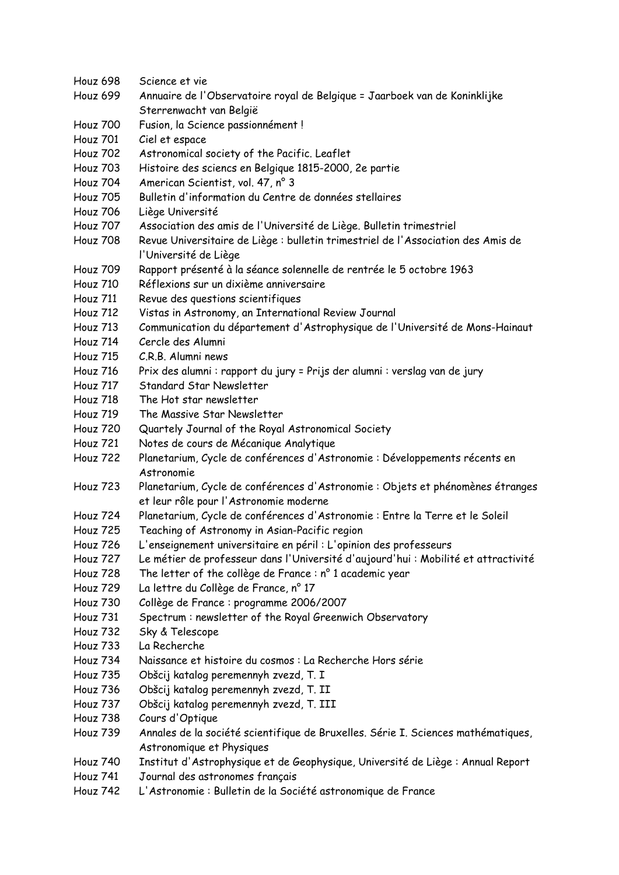- Houz 698 Science et vie
- Houz 699 Annuaire de l'Observatoire royal de Belgique = Jaarboek van de Koninklijke Sterrenwacht van België
- Houz 700 Fusion, la Science passionnément !
- Houz 701 Ciel et espace
- Houz 702 Astronomical society of the Pacific. Leaflet
- Houz 703 Histoire des sciencs en Belgique 1815-2000, 2e partie
- Houz 704 American Scientist, vol. 47, n° 3
- Houz 705 Bulletin d'information du Centre de données stellaires
- Houz 706 Liège Université
- Houz 707 Association des amis de l'Université de Liège. Bulletin trimestriel
- Houz 708 Revue Universitaire de Liège : bulletin trimestriel de l'Association des Amis de l'Université de Liège
- Houz 709 Rapport présenté à la séance solennelle de rentrée le 5 octobre 1963
- Houz 710 Réflexions sur un dixième anniversaire
- Houz 711 Revue des questions scientifiques
- Houz 712 Vistas in Astronomy, an International Review Journal
- Houz 713 Communication du département d'Astrophysique de l'Université de Mons-Hainaut
- Houz 714 Cercle des Alumni
- Houz 715 C.R.B. Alumni news
- Houz 716 Prix des alumni : rapport du jury = Prijs der alumni : verslag van de jury
- Houz 717 Standard Star Newsletter
- Houz 718 The Hot star newsletter
- Houz 719 The Massive Star Newsletter
- Houz 720 Quartely Journal of the Royal Astronomical Society
- Houz 721 Notes de cours de Mécanique Analytique
- Houz 722 Planetarium, Cycle de conférences d'Astronomie : Développements récents en Astronomie
- Houz 723 Planetarium, Cycle de conférences d'Astronomie : Objets et phénomènes étranges et leur rôle pour l'Astronomie moderne
- Houz 724 Planetarium, Cycle de conférences d'Astronomie : Entre la Terre et le Soleil
- Houz 725 Teaching of Astronomy in Asian-Pacific region
- Houz 726 L'enseignement universitaire en péril : L'opinion des professeurs
- Houz 727 Le métier de professeur dans l'Université d'aujourd'hui : Mobilité et attractivité
- Houz 728 The letter of the collège de France : n° 1 academic year
- Houz 729 La lettre du Collège de France, n° 17
- Houz 730 Collège de France : programme 2006/2007
- Houz 731 Spectrum : newsletter of the Royal Greenwich Observatory
- Houz 732 Sky & Telescope
- Houz 733 La Recherche
- Houz 734 Naissance et histoire du cosmos : La Recherche Hors série
- Houz 735 Obšcij katalog peremennyh zvezd, T. I
- Houz 736 Obšcij katalog peremennyh zvezd, T. II
- Houz 737 Obšcij katalog peremennyh zvezd, T. III
- Houz 738 Cours d'Optique
- Houz 739 Annales de la société scientifique de Bruxelles. Série I. Sciences mathématiques, Astronomique et Physiques
- Houz 740 Institut d'Astrophysique et de Geophysique, Université de Liège : Annual Report
- Houz 741 Journal des astronomes français
- Houz 742 L'Astronomie : Bulletin de la Société astronomique de France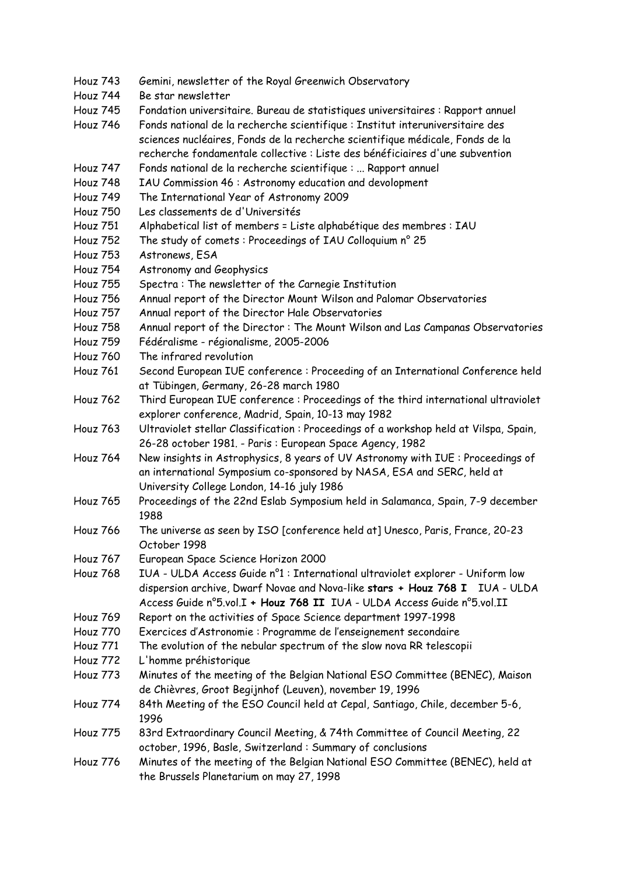- Houz 743 Gemini, newsletter of the Royal Greenwich Observatory
- Houz 744 Be star newsletter
- Houz 745 Fondation universitaire. Bureau de statistiques universitaires : Rapport annuel
- Houz 746 Fonds national de la recherche scientifique : Institut interuniversitaire des sciences nucléaires, Fonds de la recherche scientifique médicale, Fonds de la recherche fondamentale collective : Liste des bénéficiaires d'une subvention
- Houz 747 Fonds national de la recherche scientifique : ... Rapport annuel
- Houz 748 IAU Commission 46 : Astronomy education and devolopment
- Houz 749 The International Year of Astronomy 2009
- Houz 750 Les classements de d'Universités
- Houz 751 Alphabetical list of members = Liste alphabétique des membres : IAU
- Houz 752 The study of comets : Proceedings of IAU Colloquium n° 25
- Houz 753 Astronews, ESA
- Houz 754 Astronomy and Geophysics
- Houz 755 Spectra : The newsletter of the Carnegie Institution
- Houz 756 Annual report of the Director Mount Wilson and Palomar Observatories
- Houz 757 Annual report of the Director Hale Observatories
- Houz 758 Annual report of the Director : The Mount Wilson and Las Campanas Observatories
- Houz 759 Fédéralisme régionalisme, 2005-2006
- Houz 760 The infrared revolution
- Houz 761 Second European IUE conference : Proceeding of an International Conference held at Tübingen, Germany, 26-28 march 1980
- Houz 762 Third European IUE conference : Proceedings of the third international ultraviolet explorer conference, Madrid, Spain, 10-13 may 1982
- Houz 763 Ultraviolet stellar Classification : Proceedings of a workshop held at Vilspa, Spain, 26-28 october 1981. - Paris : European Space Agency, 1982
- Houz 764 New insights in Astrophysics, 8 years of UV Astronomy with IUE : Proceedings of an international Symposium co-sponsored by NASA, ESA and SERC, held at University College London, 14-16 july 1986
- Houz 765 Proceedings of the 22nd Eslab Symposium held in Salamanca, Spain, 7-9 december 1988
- Houz 766 The universe as seen by ISO [conference held at] Unesco, Paris, France, 20-23 October 1998
- Houz 767 European Space Science Horizon 2000
- Houz 768 IUA ULDA Access Guide n°1 : International ultraviolet explorer Uniform low dispersion archive, Dwarf Novae and Nova-like **stars + Houz 768 I** IUA - ULDA Access Guide n°5.vol.I **+ Houz 768 II** IUA - ULDA Access Guide n°5.vol.II
- Houz 769 Report on the activities of Space Science department 1997-1998
- Houz 770 Exercices d'Astronomie : Programme de l'enseignement secondaire
- Houz 771 The evolution of the nebular spectrum of the slow nova RR telescopii
- Houz 772 L'homme préhistorique
- Houz 773 Minutes of the meeting of the Belgian National ESO Committee (BENEC), Maison de Chièvres, Groot Begijnhof (Leuven), november 19, 1996
- Houz 774 84th Meeting of the ESO Council held at Cepal, Santiago, Chile, december 5-6, 1996
- Houz 775 83rd Extraordinary Council Meeting, & 74th Committee of Council Meeting, 22 october, 1996, Basle, Switzerland : Summary of conclusions
- Houz 776 Minutes of the meeting of the Belgian National ESO Committee (BENEC), held at the Brussels Planetarium on may 27, 1998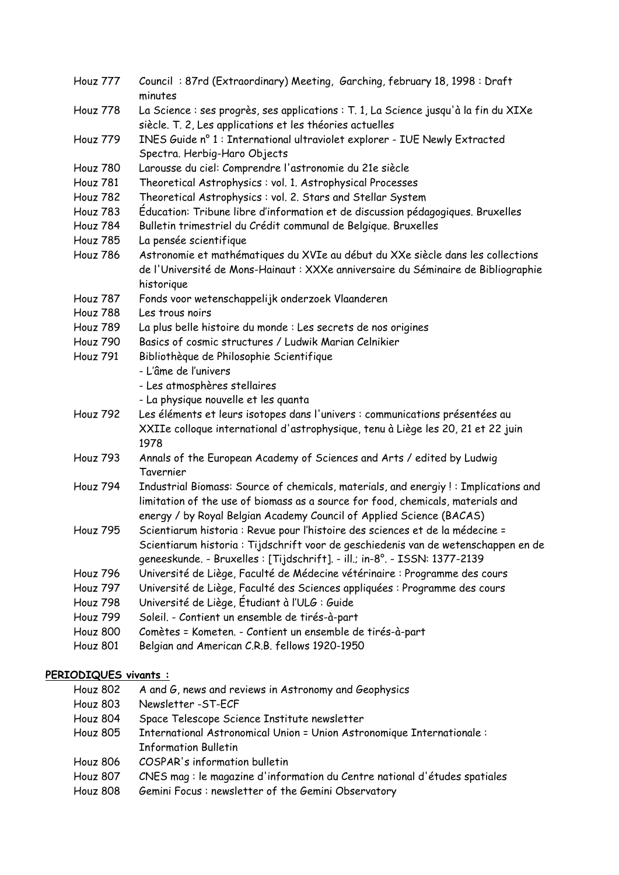| Houz 777 | Council: 87rd (Extraordinary) Meeting, Garching, february 18, 1998: Draft<br>minutes                                                                                               |
|----------|------------------------------------------------------------------------------------------------------------------------------------------------------------------------------------|
| Houz 778 | La Science : ses progrès, ses applications : T. 1, La Science jusqu'à la fin du XIXe<br>siècle. T. 2, Les applications et les théories actuelles                                   |
| Houz 779 | INES Guide nº 1 : International ultraviolet explorer - IUE Newly Extracted<br>Spectra. Herbig-Haro Objects                                                                         |
| Houz 780 | Larousse du ciel: Comprendre l'astronomie du 21e siècle                                                                                                                            |
| Houz 781 | Theoretical Astrophysics: vol. 1. Astrophysical Processes                                                                                                                          |
| Houz 782 | Theoretical Astrophysics : vol. 2. Stars and Stellar System                                                                                                                        |
| Houz 783 | Éducation: Tribune libre d'information et de discussion pédagogiques. Bruxelles                                                                                                    |
| Houz 784 | Bulletin trimestriel du Crédit communal de Belgique. Bruxelles                                                                                                                     |
| Houz 785 | La pensée scientifique                                                                                                                                                             |
| Houz 786 | Astronomie et mathématiques du XVIe au début du XXe siècle dans les collections<br>de l'Université de Mons-Hainaut : XXXe anniversaire du Séminaire de Bibliographie<br>historique |
| Houz 787 | Fonds voor wetenschappelijk onderzoek Vlaanderen                                                                                                                                   |
| Houz 788 | Les trous noirs                                                                                                                                                                    |
| Houz 789 | La plus belle histoire du monde : Les secrets de nos origines                                                                                                                      |
| Houz 790 | Basics of cosmic structures / Ludwik Marian Celnikier                                                                                                                              |
| Houz 791 | Bibliothèque de Philosophie Scientifique                                                                                                                                           |
|          | - L'âme de l'univers                                                                                                                                                               |
|          | - Les atmosphères stellaires                                                                                                                                                       |
|          | - La physique nouvelle et les quanta                                                                                                                                               |
| Houz 792 | Les éléments et leurs isotopes dans l'univers : communications présentées au                                                                                                       |
|          | XXIIe colloque international d'astrophysique, tenu à Liège les 20, 21 et 22 juin                                                                                                   |
|          | 1978                                                                                                                                                                               |
| Houz 793 | Annals of the European Academy of Sciences and Arts / edited by Ludwig                                                                                                             |
|          | Tavernier                                                                                                                                                                          |
| Houz 794 | Industrial Biomass: Source of chemicals, materials, and energiy !: Implications and                                                                                                |
|          | limitation of the use of biomass as a source for food, chemicals, materials and                                                                                                    |
|          | energy / by Royal Belgian Academy Council of Applied Science (BACAS)                                                                                                               |
| Houz 795 | Scientiarum historia : Revue pour l'histoire des sciences et de la médecine =                                                                                                      |
|          |                                                                                                                                                                                    |
|          | Scientiarum historia : Tijdschrift voor de geschiedenis van de wetenschappen en de                                                                                                 |
|          | geneeskunde. - Bruxelles : [Tijdschrift]. - ill.; in-8°. - ISSN: 1377-2139                                                                                                         |
| Houz 796 | Université de Liège, Faculté de Médecine vétérinaire : Programme des cours                                                                                                         |
| Houz 797 | Université de Liège, Faculté des Sciences appliquées : Programme des cours                                                                                                         |
| Houz 798 | Université de Liège, Étudiant à l'ULG : Guide                                                                                                                                      |
| Houz 799 | Soleil. - Contient un ensemble de tirés-à-part                                                                                                                                     |
| Houz 800 | Comètes = Kometen. - Contient un ensemble de tirés-à-part                                                                                                                          |
| Houz 801 | Belgian and American C.R.B. fellows 1920-1950                                                                                                                                      |

## **PERIODIQUES vivants :**

- Houz 802 A and G, news and reviews in Astronomy and Geophysics
- Houz 803 Newsletter -ST-ECF
- Houz 804 Space Telescope Science Institute newsletter
- Houz 805 International Astronomical Union = Union Astronomique Internationale : Information Bulletin
- Houz 806 COSPAR's information bulletin
- Houz 807 CNES mag : le magazine d'information du Centre national d'études spatiales
- Houz 808 Gemini Focus : newsletter of the Gemini Observatory